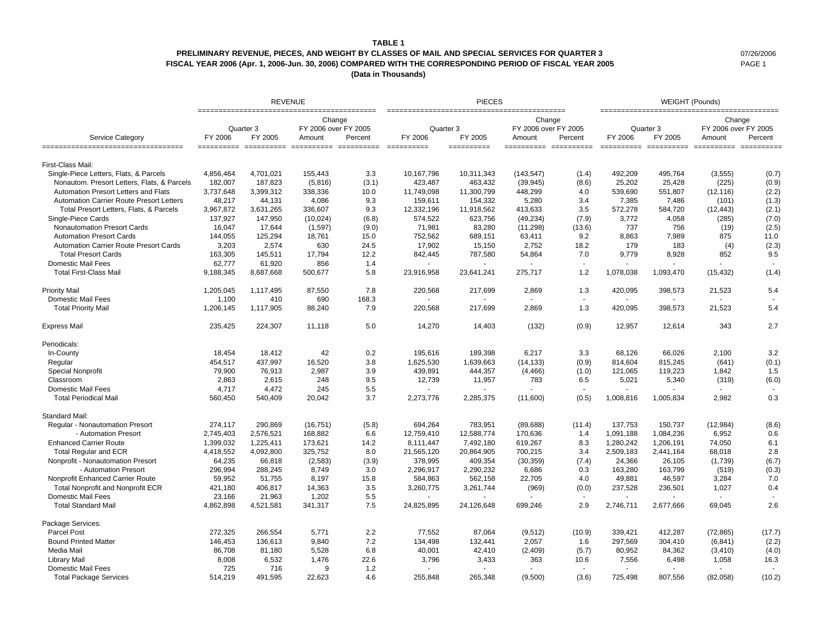#### **TABLE 1**

## **PRELIMINARY REVENUE, PIECES, AND WEIGHT BY CLASSES OF MAIL AND SPECIAL SERVICES FOR QUARTER 3** 07/26/2006 **FISCAL YEAR 2006 (Apr. 1, 2006-Jun. 30, 2006) COMPARED WITH THE CORRESPONDING PERIOD OF FISCAL YEAR 2005** PAGE 1

**(Data in Thousands)**

|                                                 |                                 | <b>REVENUE</b> |                                                     |       |                      | <b>PIECES</b> |                                          |         | WEIGHT (Pounds) |                      |                                          |         |
|-------------------------------------------------|---------------------------------|----------------|-----------------------------------------------------|-------|----------------------|---------------|------------------------------------------|---------|-----------------|----------------------|------------------------------------------|---------|
| Service Category                                | Quarter 3<br>FY 2005<br>FY 2006 |                | Change<br>FY 2006 over FY 2005<br>Percent<br>Amount |       | Quarter 3<br>FY 2006 | FY 2005       | Change<br>FY 2006 over FY 2005<br>Amount | Percent | FY 2006         | Quarter 3<br>FY 2005 | Change<br>FY 2006 over FY 2005<br>Amount | Percent |
| _______________________________                 |                                 |                |                                                     |       | ___________          | ==========    | ======================                   |         |                 |                      |                                          |         |
| First-Class Mail:                               |                                 |                |                                                     |       |                      |               |                                          |         |                 |                      |                                          |         |
| Single-Piece Letters, Flats, & Parcels          | 4.856.464                       | 4,701,021      | 155.443                                             | 3.3   | 10.167.796           | 10,311,343    | (143, 547)                               | (1.4)   | 492,209         | 495.764              | (3, 555)                                 | (0.7)   |
| Nonautom. Presort Letters, Flats, & Parcels     | 182,007                         | 187,823        | (5,816)                                             | (3.1) | 423,487              | 463,432       | (39, 945)                                | (8.6)   | 25,202          | 25,428               | (225)                                    | (0.9)   |
| Automation Presort Letters and Flats            | 3,737,648                       | 3,399,312      | 338,336                                             | 10.0  | 11,749,098           | 11,300,799    | 448,299                                  | 4.0     | 539.690         | 551,807              | (12, 116)                                | (2.2)   |
| <b>Automation Carrier Route Presort Letters</b> | 48,217                          | 44,131         | 4,086                                               | 9.3   | 159,611              | 154,332       | 5,280                                    | 3.4     | 7,385           | 7,486                | (101)                                    | (1.3)   |
| Total Presort Letters, Flats, & Parcels         | 3,967,872                       | 3,631,265      | 336,607                                             | 9.3   | 12,332,196           | 11,918,562    | 413,633                                  | 3.5     | 572,278         | 584,720              | (12, 443)                                | (2.1)   |
| Single-Piece Cards                              | 137,927                         | 147,950        | (10,024)                                            | (6.8) | 574,522              | 623,756       | (49, 234)                                | (7.9)   | 3.772           | 4,058                | (285)                                    | (7.0)   |
| <b>Nonautomation Presort Cards</b>              | 16.047                          | 17,644         | (1,597)                                             | (9.0) | 71,981               | 83,280        | (11, 298)                                | (13.6)  | 737             | 756                  | (19)                                     | (2.5)   |
| <b>Automation Presort Cards</b>                 | 144,055                         | 125,294        | 18,761                                              | 15.0  | 752,562              | 689,151       | 63,411                                   | 9.2     | 8,863           | 7,989                | 875                                      | 11.0    |
| <b>Automation Carrier Route Presort Cards</b>   | 3,203                           | 2,574          | 630                                                 | 24.5  | 17,902               | 15,150        | 2,752                                    | 18.2    | 179             | 183                  | (4)                                      | (2.3)   |
| <b>Total Presort Cards</b>                      | 163,305                         | 145,511        | 17,794                                              | 12.2  | 842,445              | 787,580       | 54,864                                   | 7.0     | 9,779           | 8,928                | 852                                      | 9.5     |
| <b>Domestic Mail Fees</b>                       | 62,777                          | 61,920         | 856                                                 | 1.4   |                      |               |                                          |         |                 |                      |                                          |         |
| <b>Total First-Class Mail</b>                   | 9,188,345                       | 8,687,668      | 500,677                                             | 5.8   | 23,916,958           | 23,641,241    | 275,717                                  | 1.2     | 1,078,038       | 1,093,470            | (15, 432)                                | (1.4)   |
| Priority Mail                                   | 1,205,045                       | 1,117,495      | 87,550                                              | 7.8   | 220,568              | 217,699       | 2,869                                    | 1.3     | 420,095         | 398,573              | 21,523                                   | 5.4     |
| <b>Domestic Mail Fees</b>                       | 1,100                           | 410            | 690                                                 | 168.3 |                      |               |                                          |         | $\sim$          |                      |                                          |         |
| <b>Total Priority Mail</b>                      | 1,206,145                       | 1,117,905      | 88,240                                              | 7.9   | 220,568              | 217,699       | 2,869                                    | 1.3     | 420,095         | 398,573              | 21,523                                   | 5.4     |
| <b>Express Mail</b>                             | 235,425                         | 224,307        | 11,118                                              | 5.0   | 14,270               | 14,403        | (132)                                    | (0.9)   | 12,957          | 12,614               | 343                                      | 2.7     |
| Periodicals:                                    |                                 |                |                                                     |       |                      |               |                                          |         |                 |                      |                                          |         |
| In-County                                       | 18,454                          | 18,412         | 42                                                  | 0.2   | 195,616              | 189,398       | 6,217                                    | 3.3     | 68,126          | 66.026               | 2,100                                    | 3.2     |
| Regular                                         | 454,517                         | 437,997        | 16,520                                              | 3.8   | 1,625,530            | 1,639,663     | (14, 133)                                | (0.9)   | 814,604         | 815,245              | (641)                                    | (0.1)   |
| <b>Special Nonprofit</b>                        | 79,900                          | 76,913         | 2,987                                               | 3.9   | 439,891              | 444,357       | (4, 466)                                 | (1.0)   | 121,065         | 119,223              | 1,842                                    | 1.5     |
| Classroom                                       | 2,863                           | 2,615          | 248                                                 | 9.5   | 12,739               | 11,957        | 783                                      | 6.5     | 5,021           | 5,340                | (319)                                    | (6.0)   |
| <b>Domestic Mail Fees</b>                       | 4,717                           | 4,472          | 245                                                 | 5.5   |                      |               |                                          |         |                 |                      |                                          |         |
| <b>Total Periodical Mail</b>                    | 560,450                         | 540,409        | 20,042                                              | 3.7   | 2,273,776            | 2,285,375     | (11,600)                                 | (0.5)   | 1,008,816       | 1,005,834            | 2,982                                    | 0.3     |
| Standard Mail:                                  |                                 |                |                                                     |       |                      |               |                                          |         |                 |                      |                                          |         |
| Regular - Nonautomation Presort                 | 274,117                         | 290,869        | (16, 751)                                           | (5.8) | 694,264              | 783,951       | (89, 688)                                | (11.4)  | 137,753         | 150,737              | (12, 984)                                | (8.6)   |
| - Automation Presort                            | 2,745,403                       | 2,576,521      | 168,882                                             | 6.6   | 12,759,410           | 12.588.774    | 170,636                                  | 1.4     | 1,091,188       | 1,084,236            | 6,952                                    | 0.6     |
| <b>Enhanced Carrier Route</b>                   | 1,399,032                       | 1,225,411      | 173,621                                             | 14.2  | 8,111,447            | 7,492,180     | 619,267                                  | 8.3     | 1,280,242       | 1,206,191            | 74,050                                   | 6.1     |
| <b>Total Regular and ECR</b>                    | 4,418,552                       | 4,092,800      | 325.752                                             | 8.0   | 21,565,120           | 20,864,905    | 700,215                                  | 3.4     | 2,509,183       | 2,441,164            | 68.018                                   | 2.8     |
| Nonprofit - Nonautomation Presort               | 64,235                          | 66,818         | (2,583)                                             | (3.9) | 378,995              | 409,354       | (30, 359)                                | (7.4)   | 24,366          | 26,105               | (1,739)                                  | (6.7)   |
| - Automation Presort                            | 296,994                         | 288,245        | 8,749                                               | 3.0   | 2,296,917            | 2,290,232     | 6,686                                    | 0.3     | 163,280         | 163,799              | (519)                                    | (0.3)   |
| Nonprofit Enhanced Carrier Route                | 59,952                          | 51,755         | 8,197                                               | 15.8  | 584,863              | 562,158       | 22,705                                   | 4.0     | 49,881          | 46,597               | 3,284                                    | 7.0     |
| <b>Total Nonprofit and Nonprofit ECR</b>        | 421,180                         | 406,817        | 14,363                                              | 3.5   | 3,260,775            | 3,261,744     | (969)                                    | (0.0)   | 237,528         | 236,501              | 1,027                                    | 0.4     |
| <b>Domestic Mail Fees</b>                       | 23,166                          | 21,963         | 1,202                                               | 5.5   |                      |               |                                          |         |                 |                      |                                          |         |
| <b>Total Standard Mail</b>                      | 4,862,898                       | 4,521,581      | 341,317                                             | 7.5   | 24,825,895           | 24,126,648    | 699,246                                  | 2.9     | 2,746,711       | 2,677,666            | 69.045                                   | 2.6     |
| Package Services:                               |                                 |                |                                                     |       |                      |               |                                          |         |                 |                      |                                          |         |
| Parcel Post                                     | 272,325                         | 266,554        | 5,771                                               | 2.2   | 77,552               | 87,064        | (9,512)                                  | (10.9)  | 339,421         | 412,287              | (72, 865)                                | (17.7)  |
| <b>Bound Printed Matter</b>                     | 146,453                         | 136,613        | 9.840                                               | 7.2   | 134,498              | 132,441       | 2,057                                    | 1.6     | 297,569         | 304,410              | (6, 841)                                 | (2.2)   |
| Media Mail                                      | 86,708                          | 81,180         | 5,528                                               | 6.8   | 40,001               | 42,410        | (2,409)                                  | (5.7)   | 80,952          | 84,362               | (3, 410)                                 | (4.0)   |
| Library Mail                                    | 8.008                           | 6,532          | 1,476                                               | 22.6  | 3,796                | 3,433         | 363                                      | 10.6    | 7,556           | 6,498                | 1,058                                    | 16.3    |
| <b>Domestic Mail Fees</b>                       | 725                             | 716            | 9                                                   | 1.2   | $\sim$               |               | $\sim$                                   | $\sim$  | $\mathbf{r}$    |                      | $\sim$                                   |         |
| <b>Total Package Services</b>                   | 514,219                         | 491,595        | 22,623                                              | 4.6   | 255,848              | 265,348       | (9,500)                                  | (3.6)   | 725,498         | 807,556              | (82,058)                                 | (10.2)  |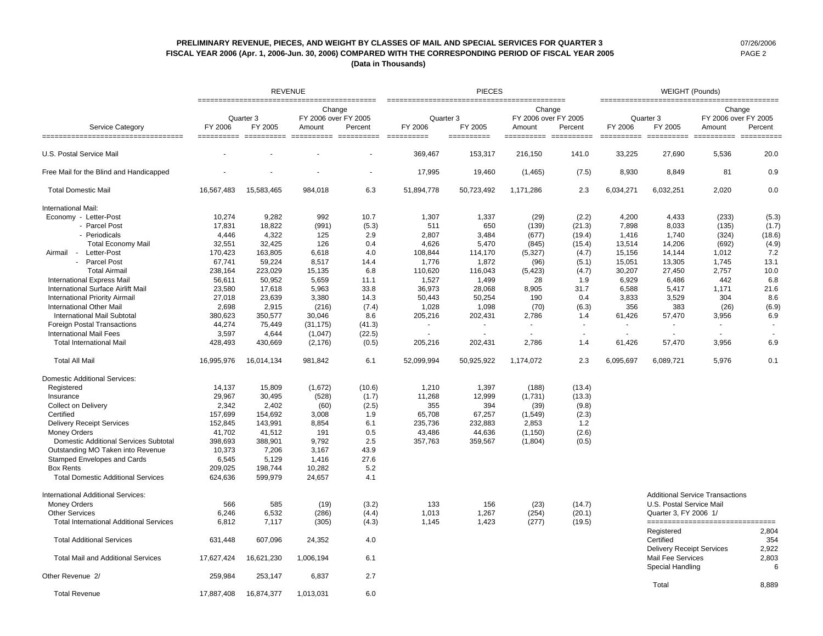### **PRELIMINARY REVENUE, PIECES, AND WEIGHT BY CLASSES OF MAIL AND SPECIAL SERVICES FOR QUARTER 3** 07/26/2006 **FISCAL YEAR 2006 (Apr. 1, 2006-Jun. 30, 2006) COMPARED WITH THE CORRESPONDING PERIOD OF FISCAL YEAR 2005** PAGE 2 **(Data in Thousands)**

|                                                          |                       |                                            | <b>REVENUE</b>                 |                                    |                                    | <b>PIECES</b>         |                                |                       | <b>WEIGHT (Pounds)</b><br>==========================<br>============= |                                                                           |                                        |                       |
|----------------------------------------------------------|-----------------------|--------------------------------------------|--------------------------------|------------------------------------|------------------------------------|-----------------------|--------------------------------|-----------------------|-----------------------------------------------------------------------|---------------------------------------------------------------------------|----------------------------------------|-----------------------|
|                                                          |                       | =============================<br>Quarter 3 | Change<br>FY 2006 over FY 2005 | -----------------                  | Quarter 3                          |                       | Change<br>FY 2006 over FY 2005 |                       |                                                                       | Quarter 3                                                                 | Change<br>FY 2006 over FY 2005         |                       |
| Service Category<br>==================================== | FY 2006<br>========== | FY 2005<br>==========                      | Amount                         | Percent<br>$=$ = = = = = = = = = = | FY 2006<br>$=$ = = = = = = = = = = | FY 2005<br>========== | Amount<br>$=$ ==========       | Percent<br>========== | FY 2006<br>$=$ = = = = = = = = = =                                    | FY 2005<br>==========                                                     | Amount<br>==========                   | Percent<br>========== |
| U.S. Postal Service Mail                                 |                       |                                            |                                |                                    | 369.467                            | 153,317               | 216.150                        | 141.0                 | 33,225                                                                | 27.690                                                                    | 5.536                                  | 20.0                  |
| Free Mail for the Blind and Handicapped                  |                       |                                            |                                |                                    | 17,995                             | 19,460                | (1,465)                        | (7.5)                 | 8,930                                                                 | 8,849                                                                     | 81                                     | 0.9                   |
| <b>Total Domestic Mail</b>                               | 16,567,483            | 15,583,465                                 | 984,018                        | 6.3                                | 51,894,778                         | 50,723,492            | 1,171,286                      | 2.3                   | 6,034,271                                                             | 6,032,251                                                                 | 2,020                                  | 0.0                   |
| International Mail:                                      |                       |                                            |                                |                                    |                                    |                       |                                |                       |                                                                       |                                                                           |                                        |                       |
| Economy - Letter-Post                                    | 10,274                | 9.282                                      | 992                            | 10.7                               | 1.307                              | 1,337                 | (29)                           | (2.2)                 | 4.200                                                                 | 4.433                                                                     | (233)                                  | (5.3)                 |
| - Parcel Post                                            | 17,831                | 18.822                                     | (991)                          | (5.3)                              | 511                                | 650                   | (139)                          | (21.3)                | 7,898                                                                 | 8,033                                                                     | (135)                                  | (1.7)                 |
| - Periodicals                                            | 4,446                 | 4,322                                      | 125                            | 2.9                                | 2,807                              | 3,484                 | (677)                          | (19.4)                | 1,416                                                                 | 1,740                                                                     | (324)                                  | (18.6)                |
| <b>Total Economy Mail</b>                                | 32,551                | 32,425                                     | 126                            | 0.4                                | 4,626                              | 5,470                 | (845)                          | (15.4)                | 13,514                                                                | 14,206                                                                    | (692)                                  | (4.9)                 |
| Letter-Post<br>Airmail -                                 | 170,423               | 163,805                                    | 6,618                          | 4.0                                | 108,844                            | 114,170               | (5,327)                        | (4.7)                 | 15,156                                                                | 14,144                                                                    | 1,012                                  | 7.2                   |
| - Parcel Post                                            | 67,741                | 59,224                                     | 8,517                          | 14.4                               | 1,776                              | 1,872                 | (96)                           | (5.1)                 | 15,051                                                                | 13,305                                                                    | 1,745                                  | 13.1                  |
| <b>Total Airmail</b>                                     | 238,164               | 223,029                                    | 15,135                         | 6.8                                | 110,620                            | 116,043               | (5, 423)                       | (4.7)                 | 30,207                                                                | 27,450                                                                    | 2,757                                  | 10.0                  |
| <b>International Express Mail</b>                        | 56,611                | 50,952                                     | 5,659                          | 11.1                               | 1,527                              | 1,499                 | 28                             | 1.9                   | 6,929                                                                 | 6,486                                                                     | 442                                    | 6.8                   |
| International Surface Airlift Mail                       | 23,580                | 17,618                                     | 5,963                          | 33.8                               | 36,973                             | 28,068                | 8,905                          | 31.7                  | 6,588                                                                 | 5,417                                                                     | 1,171                                  | 21.6                  |
| <b>International Priority Airmail</b>                    | 27,018                | 23,639                                     | 3,380                          | 14.3                               | 50,443                             | 50,254                | 190                            | 0.4                   | 3,833                                                                 | 3,529                                                                     | 304                                    | 8.6                   |
| <b>International Other Mail</b>                          | 2,698                 | 2,915                                      | (216)                          | (7.4)                              | 1,028                              | 1,098                 | (70)                           | (6.3)                 | 356                                                                   | 383                                                                       | (26)                                   | (6.9)                 |
| <b>International Mail Subtotal</b>                       | 380,623               | 350,577                                    | 30,046                         | 8.6                                | 205,216                            | 202,431               | 2,786                          | 1.4                   | 61,426                                                                | 57,470                                                                    | 3.956                                  | 6.9                   |
| <b>Foreign Postal Transactions</b>                       | 44,274                | 75,449                                     | (31, 175)                      | (41.3)                             | $\sim$                             |                       |                                | $\sim$                |                                                                       |                                                                           |                                        |                       |
| <b>International Mail Fees</b>                           | 3,597                 | 4,644                                      | (1,047)                        | (22.5)                             |                                    |                       |                                |                       | $\sim$                                                                |                                                                           |                                        |                       |
| <b>Total International Mail</b>                          | 428,493               | 430,669                                    | (2, 176)                       | (0.5)                              | 205,216                            | 202,431               | 2,786                          | 1.4                   | 61,426                                                                | 57,470                                                                    | 3,956                                  | 6.9                   |
| <b>Total All Mail</b>                                    | 16,995,976            | 16,014,134                                 | 981,842                        | 6.1                                | 52,099,994                         | 50,925,922            | 1,174,072                      | 2.3                   | 6,095,697                                                             | 6,089,721                                                                 | 5,976                                  | 0.1                   |
|                                                          |                       |                                            |                                |                                    |                                    |                       |                                |                       |                                                                       |                                                                           |                                        |                       |
| <b>Domestic Additional Services:</b>                     |                       |                                            |                                |                                    |                                    |                       |                                |                       |                                                                       |                                                                           |                                        |                       |
| Registered                                               | 14,137                | 15,809                                     | (1,672)                        | (10.6)                             | 1,210                              | 1,397                 | (188)                          | (13.4)                |                                                                       |                                                                           |                                        |                       |
| Insurance                                                | 29,967                | 30,495                                     | (528)                          | (1.7)                              | 11,268                             | 12,999                | (1,731)                        | (13.3)                |                                                                       |                                                                           |                                        |                       |
| <b>Collect on Delivery</b>                               | 2,342                 | 2.402                                      | (60)                           | (2.5)                              | 355                                | 394                   | (39)                           | (9.8)                 |                                                                       |                                                                           |                                        |                       |
| Certified                                                | 157,699               | 154,692                                    | 3,008                          | 1.9                                | 65,708                             | 67,257                | (1,549)                        | (2.3)                 |                                                                       |                                                                           |                                        |                       |
| <b>Delivery Receipt Services</b>                         | 152,845               | 143,991                                    | 8,854                          | 6.1                                | 235,736                            | 232,883               | 2,853                          | 1.2                   |                                                                       |                                                                           |                                        |                       |
| <b>Money Orders</b>                                      | 41,702                | 41,512                                     | 191                            | 0.5                                | 43,486                             | 44,636                | (1, 150)                       | (2.6)                 |                                                                       |                                                                           |                                        |                       |
| Domestic Additional Services Subtotal                    | 398,693               | 388,901                                    | 9,792                          | 2.5                                | 357,763                            | 359,567               | (1,804)                        | (0.5)                 |                                                                       |                                                                           |                                        |                       |
| Outstanding MO Taken into Revenue                        | 10,373                | 7,206                                      | 3,167                          | 43.9                               |                                    |                       |                                |                       |                                                                       |                                                                           |                                        |                       |
| Stamped Envelopes and Cards                              | 6,545                 | 5,129                                      | 1,416                          | 27.6                               |                                    |                       |                                |                       |                                                                       |                                                                           |                                        |                       |
| <b>Box Rents</b>                                         | 209,025               | 198,744                                    | 10,282                         | 5.2                                |                                    |                       |                                |                       |                                                                       |                                                                           |                                        |                       |
| <b>Total Domestic Additional Services</b>                | 624,636               | 599,979                                    | 24,657                         | 4.1                                |                                    |                       |                                |                       |                                                                       |                                                                           |                                        |                       |
| <b>International Additional Services:</b>                |                       |                                            |                                |                                    |                                    |                       |                                |                       |                                                                       |                                                                           | <b>Additional Service Transactions</b> |                       |
| <b>Money Orders</b>                                      | 566                   | 585                                        | (19)                           | (3.2)                              | 133                                | 156                   | (23)                           | (14.7)                |                                                                       | U.S. Postal Service Mail                                                  |                                        |                       |
| <b>Other Services</b>                                    | 6,246                 | 6,532                                      | (286)                          | (4.4)                              | 1,013                              | 1,267                 | (254)                          | (20.1)                |                                                                       | Quarter 3, FY 2006 1/                                                     |                                        |                       |
| <b>Total International Additional Services</b>           | 6,812                 | 7,117                                      | (305)                          | (4.3)                              | 1,145                              | 1,423                 | (277)                          | (19.5)                |                                                                       |                                                                           | =================================      |                       |
| <b>Total Additional Services</b>                         | 631,448               | 607,096                                    | 24,352                         | 4.0                                |                                    |                       |                                |                       |                                                                       | Registered<br>Certified                                                   |                                        | 2,804<br>354          |
| <b>Total Mail and Additional Services</b>                | 17,627,424            | 16,621,230                                 | 1,006,194                      | 6.1                                |                                    |                       |                                |                       |                                                                       | <b>Delivery Receipt Services</b><br>Mail Fee Services<br>Special Handling |                                        | 2,922<br>2,803<br>6   |
| Other Revenue 2/                                         | 259,984               | 253,147                                    | 6.837                          | 2.7                                |                                    |                       |                                |                       |                                                                       | Total                                                                     |                                        | 8.889                 |
| <b>Total Revenue</b>                                     | 17.887.408            | 16,874,377                                 | 1.013.031                      | 6.0                                |                                    |                       |                                |                       |                                                                       |                                                                           |                                        |                       |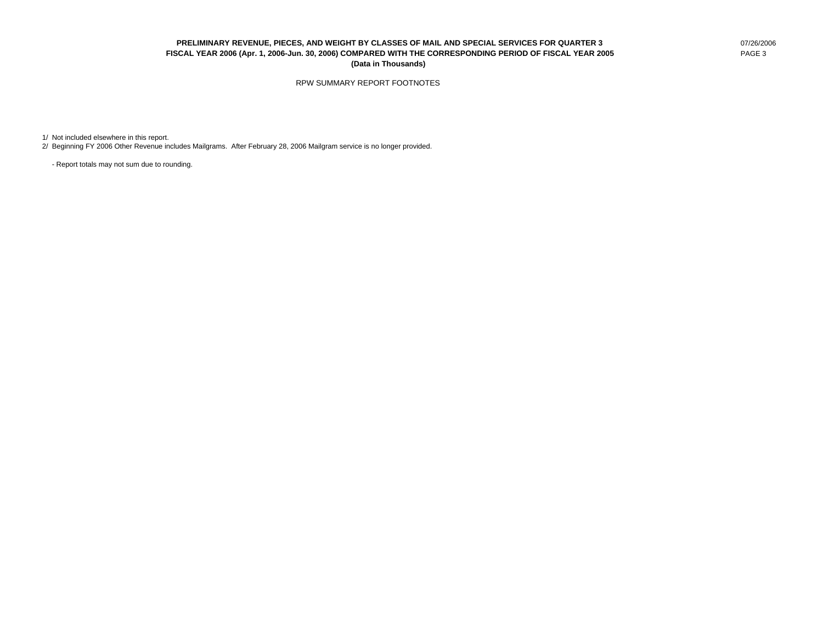### **PRELIMINARY REVENUE, PIECES, AND WEIGHT BY CLASSES OF MAIL AND SPECIAL SERVICES FOR QUARTER 3** 07/26/2006 **FISCAL YEAR 2006 (Apr. 1, 2006-Jun. 30, 2006) COMPARED WITH THE CORRESPONDING PERIOD OF FISCAL YEAR 2005** PAGE 3 **(Data in Thousands)**

### RPW SUMMARY REPORT FOOTNOTES

1/ Not included elsewhere in this report.

2/ Beginning FY 2006 Other Revenue includes Mailgrams. After February 28, 2006 Mailgram service is no longer provided.

- Report totals may not sum due to rounding.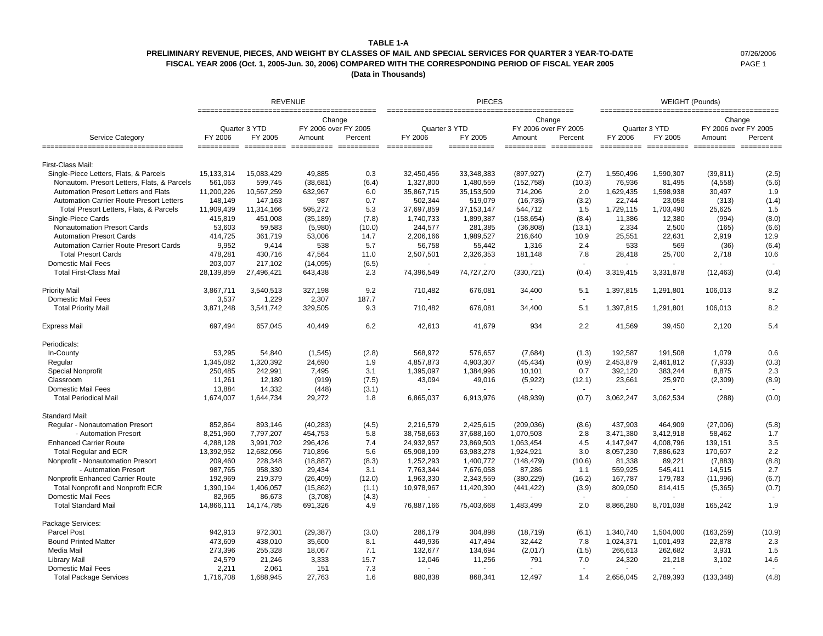#### **TABLE 1-A**

### **PRELIMINARY REVENUE, PIECES, AND WEIGHT BY CLASSES OF MAIL AND SPECIAL SERVICES FOR QUARTER 3 YEAR-TO-DATE** 07/26/2006 **FISCAL YEAR 2006 (Oct. 1, 2005-Jun. 30, 2006) COMPARED WITH THE CORRESPONDING PERIOD OF FISCAL YEAR 2005** PAGE 1

**(Data in Thousands)**

|                                                                  |              | <b>REVENUE</b> |                                |         |                        | <b>PIECES</b>          |                                |         | <b>WEIGHT (Pounds)</b> |               |                                           |         |
|------------------------------------------------------------------|--------------|----------------|--------------------------------|---------|------------------------|------------------------|--------------------------------|---------|------------------------|---------------|-------------------------------------------|---------|
|                                                                  |              | Quarter 3 YTD  | Change<br>FY 2006 over FY 2005 |         | Quarter 3 YTD          |                        | Change<br>FY 2006 over FY 2005 |         |                        | Quarter 3 YTD | Change<br>FY 2006 over FY 2005            |         |
| <b>Service Category</b><br>===================================== | FY 2006      | FY 2005        | Amount                         | Percent | FY 2006<br>=========== | FY 2005<br>=========== | Amount                         | Percent | FY 2006<br>==========  | FY 2005       | Amount<br>========== ========== ========= | Percent |
| First-Class Mail:                                                |              |                |                                |         |                        |                        |                                |         |                        |               |                                           |         |
| Single-Piece Letters, Flats, & Parcels                           | 15, 133, 314 | 15,083,429     | 49,885                         | 0.3     | 32,450,456             | 33,348,383             | (897, 927)                     | (2.7)   | 1,550,496              | 1,590,307     | (39, 811)                                 | (2.5)   |
| Nonautom. Presort Letters, Flats, & Parcels                      | 561,063      | 599,745        | (38,681)                       | (6.4)   | 1,327,800              | 1,480,559              | (152, 758)                     | (10.3)  | 76,936                 | 81.495        | (4, 558)                                  | (5.6)   |
| Automation Presort Letters and Flats                             | 11,200,226   | 10,567,259     | 632,967                        | 6.0     | 35,867,715             | 35,153,509             | 714,206                        | 2.0     | 1,629,435              | 1,598,938     | 30,497                                    | 1.9     |
| <b>Automation Carrier Route Presort Letters</b>                  | 148,149      | 147,163        | 987                            | 0.7     | 502,344                | 519,079                | (16, 735)                      | (3.2)   | 22,744                 | 23,058        | (313)                                     | (1.4)   |
| Total Presort Letters, Flats, & Parcels                          | 11,909,439   | 11,314,166     | 595,272                        | 5.3     | 37,697,859             | 37, 153, 147           | 544,712                        | 1.5     | 1,729,115              | 1,703,490     | 25,625                                    | 1.5     |
| Single-Piece Cards                                               | 415,819      | 451,008        | (35, 189)                      | (7.8)   | 1,740,733              | 1,899,387              | (158, 654)                     | (8.4)   | 11,386                 | 12,380        | (994)                                     | (8.0)   |
| <b>Nonautomation Presort Cards</b>                               | 53,603       | 59,583         | (5,980)                        | (10.0)  | 244,577                | 281,385                | (36, 808)                      | (13.1)  | 2,334                  | 2,500         | (165)                                     | (6.6)   |
| <b>Automation Presort Cards</b>                                  | 414,725      | 361,719        | 53,006                         | 14.7    | 2,206,166              | 1,989,527              | 216,640                        | 10.9    | 25,551                 | 22,631        | 2,919                                     | 12.9    |
| <b>Automation Carrier Route Presort Cards</b>                    | 9,952        | 9,414          | 538                            | 5.7     | 56,758                 | 55,442                 | 1,316                          | 2.4     | 533                    | 569           | (36)                                      | (6.4)   |
| <b>Total Presort Cards</b>                                       | 478,281      | 430,716        | 47,564                         | 11.0    | 2,507,501              | 2,326,353              | 181,148                        | 7.8     | 28,418                 | 25,700        | 2,718                                     | 10.6    |
| <b>Domestic Mail Fees</b>                                        | 203,007      | 217,102        | (14,095)                       | (6.5)   |                        |                        |                                |         |                        |               |                                           |         |
| <b>Total First-Class Mail</b>                                    | 28,139,859   | 27,496,421     | 643,438                        | 2.3     | 74,396,549             | 74,727,270             | (330, 721)                     | (0.4)   | 3,319,415              | 3,331,878     | (12, 463)                                 | (0.4)   |
| Priority Mail                                                    | 3,867,711    | 3,540,513      | 327,198                        | 9.2     | 710,482                | 676,081                | 34,400                         | 5.1     | 1,397,815              | 1,291,801     | 106,013                                   | 8.2     |
| <b>Domestic Mail Fees</b>                                        | 3,537        | 1,229          | 2,307                          | 187.7   |                        |                        |                                |         |                        |               |                                           |         |
| <b>Total Priority Mail</b>                                       | 3,871,248    | 3,541,742      | 329,505                        | 9.3     | 710,482                | 676,081                | 34,400                         | 5.1     | 1,397,815              | 1,291,801     | 106,013                                   | 8.2     |
| <b>Express Mail</b>                                              | 697,494      | 657,045        | 40,449                         | 6.2     | 42,613                 | 41,679                 | 934                            | 2.2     | 41,569                 | 39,450        | 2,120                                     | 5.4     |
| Periodicals:                                                     |              |                |                                |         |                        |                        |                                |         |                        |               |                                           |         |
| In-County                                                        | 53,295       | 54,840         | (1, 545)                       | (2.8)   | 568,972                | 576,657                | (7,684)                        | (1.3)   | 192,587                | 191,508       | 1,079                                     | 0.6     |
| Regular                                                          | 1,345,082    | 1,320,392      | 24,690                         | 1.9     | 4,857,873              | 4,903,307              | (45, 434)                      | (0.9)   | 2,453,879              | 2,461,812     | (7, 933)                                  | (0.3)   |
| <b>Special Nonprofit</b>                                         | 250,485      | 242,991        | 7,495                          | 3.1     | 1,395,097              | 1,384,996              | 10,101                         | 0.7     | 392,120                | 383,244       | 8,875                                     | 2.3     |
| Classroom                                                        | 11,261       | 12,180         | (919)                          | (7.5)   | 43,094                 | 49,016                 | (5,922)                        | (12.1)  | 23,661                 | 25,970        | (2,309)                                   | (8.9)   |
| Domestic Mail Fees                                               | 13,884       | 14,332         | (448)                          | (3.1)   |                        |                        |                                |         |                        |               |                                           |         |
| <b>Total Periodical Mail</b>                                     | 1,674,007    | 1,644,734      | 29,272                         | 1.8     | 6,865,037              | 6,913,976              | (48, 939)                      | (0.7)   | 3,062,247              | 3,062,534     | (288)                                     | (0.0)   |
| Standard Mail:                                                   |              |                |                                |         |                        |                        |                                |         |                        |               |                                           |         |
| Regular - Nonautomation Presort                                  | 852,864      | 893,146        | (40, 283)                      | (4.5)   | 2,216,579              | 2,425,615              | (209, 036)                     | (8.6)   | 437,903                | 464,909       | (27,006)                                  | (5.8)   |
| - Automation Presort                                             | 8,251,960    | 7,797,207      | 454,753                        | 5.8     | 38,758,663             | 37,688,160             | 1,070,503                      | 2.8     | 3,471,380              | 3,412,918     | 58,462                                    | 1.7     |
| <b>Enhanced Carrier Route</b>                                    | 4,288,128    | 3,991,702      | 296,426                        | 7.4     | 24,932,957             | 23,869,503             | 1,063,454                      | 4.5     | 4,147,947              | 4,008,796     | 139,151                                   | 3.5     |
| <b>Total Regular and ECR</b>                                     | 13,392,952   | 12,682,056     | 710,896                        | 5.6     | 65,908,199             | 63,983,278             | 1,924,921                      | 3.0     | 8,057,230              | 7,886,623     | 170,607                                   | 2.2     |
| Nonprofit - Nonautomation Presort                                | 209,460      | 228,348        | (18, 887)                      | (8.3)   | 1,252,293              | 1,400,772              | (148, 479)                     | (10.6)  | 81,338                 | 89,221        | (7,883)                                   | (8.8)   |
| - Automation Presort                                             | 987,765      | 958,330        | 29,434                         | 3.1     | 7,763,344              | 7,676,058              | 87,286                         | 1.1     | 559,925                | 545,411       | 14,515                                    | 2.7     |
| Nonprofit Enhanced Carrier Route                                 | 192,969      | 219,379        | (26, 409)                      | (12.0)  | 1,963,330              | 2,343,559              | (380, 229)                     | (16.2)  | 167,787                | 179,783       | (11, 996)                                 | (6.7)   |
| Total Nonprofit and Nonprofit ECR                                | 1,390,194    | 1,406,057      | (15, 862)                      | (1.1)   | 10,978,967             | 11,420,390             | (441, 422)                     | (3.9)   | 809,050                | 814,415       | (5,365)                                   | (0.7)   |
| <b>Domestic Mail Fees</b>                                        | 82.965       | 86,673         | (3,708)                        | (4.3)   |                        |                        |                                |         |                        |               |                                           |         |
| <b>Total Standard Mail</b>                                       | 14,866,111   | 14,174,785     | 691,326                        | 4.9     | 76,887,166             | 75,403,668             | 1,483,499                      | 2.0     | 8,866,280              | 8,701,038     | 165,242                                   | 1.9     |
| Package Services:                                                |              |                |                                |         |                        |                        |                                |         |                        |               |                                           |         |
| <b>Parcel Post</b>                                               | 942,913      | 972,301        | (29, 387)                      | (3.0)   | 286,179                | 304,898                | (18, 719)                      | (6.1)   | 1,340,740              | 1,504,000     | (163, 259)                                | (10.9)  |
| <b>Bound Printed Matter</b>                                      | 473,609      | 438,010        | 35,600                         | 8.1     | 449,936                | 417,494                | 32,442                         | 7.8     | 1,024,371              | 1,001,493     | 22,878                                    | 2.3     |
| Media Mail                                                       | 273,396      | 255,328        | 18,067                         | 7.1     | 132,677                | 134,694                | (2,017)                        | (1.5)   | 266,613                | 262,682       | 3,931                                     | 1.5     |
| <b>Library Mail</b>                                              | 24,579       | 21,246         | 3,333                          | 15.7    | 12,046                 | 11,256                 | 791                            | 7.0     | 24,320                 | 21,218        | 3,102                                     | 14.6    |
| Domestic Mail Fees                                               | 2,211        | 2,061          | 151                            | 7.3     |                        |                        |                                |         |                        |               |                                           |         |
| <b>Total Package Services</b>                                    | 1,716,708    | 1,688,945      | 27.763                         | 1.6     | 880.838                | 868.341                | 12,497                         | 1.4     | 2,656,045              | 2,789,393     | (133, 348)                                | (4.8)   |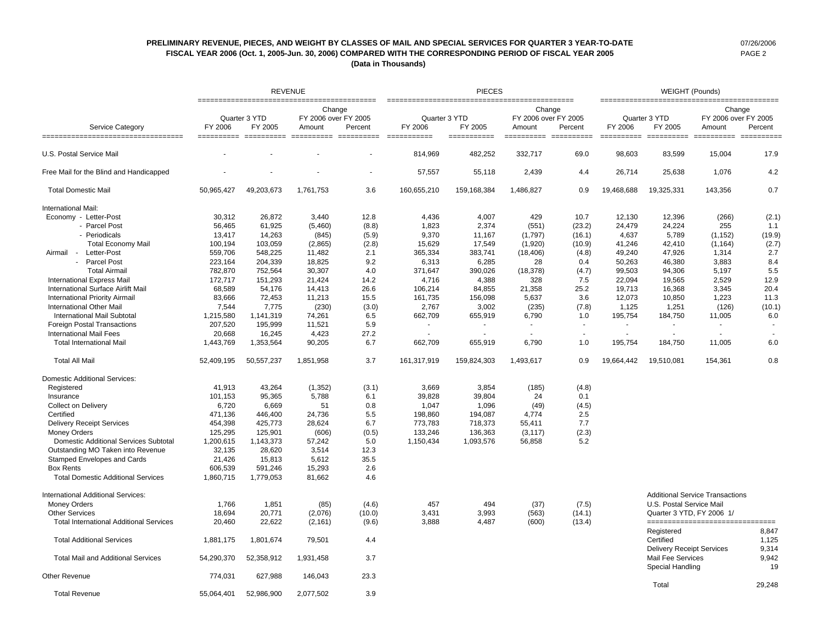### **PRELIMINARY REVENUE, PIECES, AND WEIGHT BY CLASSES OF MAIL AND SPECIAL SERVICES FOR QUARTER 3 YEAR-TO-DATE** 07/26/2006 **FISCAL YEAR 2006 (Oct. 1, 2005-Jun. 30, 2006) COMPARED WITH THE CORRESPONDING PERIOD OF FISCAL YEAR 2005** PAGE 2 **(Data in Thousands)**

|                                                          |                       |               | <b>REVENUE</b>                 |                       |                        | <b>PIECES</b>          |                                |         |            | <b>WEIGHT (Pounds)</b>                                      |                                        |                         |  |
|----------------------------------------------------------|-----------------------|---------------|--------------------------------|-----------------------|------------------------|------------------------|--------------------------------|---------|------------|-------------------------------------------------------------|----------------------------------------|-------------------------|--|
|                                                          |                       | Quarter 3 YTD | Change<br>FY 2006 over FY 2005 |                       | Quarter 3 YTD          |                        | Change<br>FY 2006 over FY 2005 |         |            | Quarter 3 YTD                                               | Change<br>FY 2006 over FY 2005         |                         |  |
| Service Category<br>==================================== | FY 2006<br>========== | FY 2005       | Amount<br>==========           | Percent<br>========== | FY 2006<br>=========== | FY 2005<br>=========== | Amount                         | Percent | FY 2006    | FY 2005                                                     | Amount                                 | Percent<br>==========   |  |
| U.S. Postal Service Mail                                 |                       |               |                                |                       | 814,969                | 482,252                | 332,717                        | 69.0    | 98,603     | 83,599                                                      | 15,004                                 | 17.9                    |  |
| Free Mail for the Blind and Handicapped                  |                       |               |                                |                       | 57,557                 | 55,118                 | 2,439                          | 4.4     | 26,714     | 25,638                                                      | 1,076                                  | 4.2                     |  |
| <b>Total Domestic Mail</b>                               | 50.965.427            | 49,203,673    | 1,761,753                      | 3.6                   | 160,655,210            | 159,168,384            | 1,486,827                      | 0.9     | 19,468,688 | 19,325,331                                                  | 143.356                                | 0.7                     |  |
| International Mail:                                      |                       |               |                                |                       |                        |                        |                                |         |            |                                                             |                                        |                         |  |
| Economy - Letter-Post                                    | 30,312                | 26,872        | 3,440                          | 12.8                  | 4,436                  | 4,007                  | 429                            | 10.7    | 12,130     | 12,396                                                      | (266)                                  | (2.1)                   |  |
| - Parcel Post                                            | 56,465                | 61,925        | (5,460)                        | (8.8)                 | 1,823                  | 2,374                  | (551)                          | (23.2)  | 24,479     | 24,224                                                      | 255                                    | 1.1                     |  |
| - Periodicals                                            | 13,417                | 14,263        | (845)                          | (5.9)                 | 9,370                  | 11,167                 | (1,797)                        | (16.1)  | 4,637      | 5,789                                                       | (1, 152)                               | (19.9)                  |  |
| <b>Total Economy Mail</b>                                | 100,194               | 103,059       | (2,865)                        | (2.8)                 | 15,629                 | 17,549                 | (1,920)                        | (10.9)  | 41,246     | 42,410                                                      | (1, 164)                               | (2.7)                   |  |
| Letter-Post<br>Airmail -                                 | 559.706               | 548,225       | 11,482                         | 2.1                   | 365,334                | 383.741                | (18, 406)                      | (4.8)   | 49,240     | 47.926                                                      | 1.314                                  | 2.7                     |  |
| <b>Parcel Post</b>                                       |                       |               |                                | 9.2                   |                        |                        | 28                             |         |            |                                                             |                                        |                         |  |
|                                                          | 223,164               | 204,339       | 18,825                         |                       | 6,313                  | 6,285                  |                                | 0.4     | 50,263     | 46,380                                                      | 3,883                                  | 8.4                     |  |
| <b>Total Airmail</b>                                     | 782,870               | 752,564       | 30,307                         | 4.0                   | 371,647                | 390,026                | (18, 378)                      | (4.7)   | 99,503     | 94,306                                                      | 5,197                                  | 5.5                     |  |
| <b>International Express Mail</b>                        | 172,717               | 151,293       | 21,424                         | 14.2                  | 4,716                  | 4,388                  | 328                            | 7.5     | 22,094     | 19,565                                                      | 2,529                                  | 12.9                    |  |
| International Surface Airlift Mail                       | 68,589                | 54,176        | 14,413                         | 26.6                  | 106,214                | 84,855                 | 21,358                         | 25.2    | 19,713     | 16,368                                                      | 3,345                                  | 20.4                    |  |
| <b>International Priority Airmail</b>                    | 83,666                | 72,453        | 11,213                         | 15.5                  | 161,735                | 156,098                | 5,637                          | 3.6     | 12,073     | 10,850                                                      | 1,223                                  | 11.3                    |  |
| <b>International Other Mail</b>                          | 7,544                 | 7,775         | (230)                          | (3.0)                 | 2,767                  | 3,002                  | (235)                          | (7.8)   | 1,125      | 1,251                                                       | (126)                                  | (10.1)                  |  |
| <b>International Mail Subtotal</b>                       | 1,215,580             | 1,141,319     | 74,261                         | 6.5                   | 662,709                | 655,919                | 6,790                          | 1.0     | 195,754    | 184,750                                                     | 11,005                                 | 6.0                     |  |
| <b>Foreign Postal Transactions</b>                       | 207,520               | 195,999       | 11,521                         | 5.9                   |                        |                        |                                | $\sim$  |            |                                                             |                                        |                         |  |
| <b>International Mail Fees</b>                           | 20,668                | 16,245        | 4,423                          | 27.2                  |                        |                        |                                |         | ÷.         |                                                             |                                        |                         |  |
| <b>Total International Mail</b>                          | 1,443,769             | 1,353,564     | 90,205                         | 6.7                   | 662,709                | 655,919                | 6,790                          | 1.0     | 195,754    | 184,750                                                     | 11,005                                 | 6.0                     |  |
| <b>Total All Mail</b>                                    | 52,409,195            | 50,557,237    | 1,851,958                      | 3.7                   | 161,317,919            | 159,824,303            | 1,493,617                      | 0.9     | 19,664,442 | 19,510,081                                                  | 154,361                                | 0.8                     |  |
| <b>Domestic Additional Services:</b>                     |                       |               |                                |                       |                        |                        |                                |         |            |                                                             |                                        |                         |  |
| Registered                                               | 41,913                | 43,264        | (1, 352)                       | (3.1)                 | 3,669                  | 3,854                  | (185)                          | (4.8)   |            |                                                             |                                        |                         |  |
| Insurance                                                | 101,153               | 95,365        | 5,788                          | 6.1                   | 39,828                 | 39,804                 | 24                             | 0.1     |            |                                                             |                                        |                         |  |
| <b>Collect on Delivery</b>                               | 6,720                 | 6,669         | 51                             | 0.8                   | 1,047                  | 1,096                  | (49)                           | (4.5)   |            |                                                             |                                        |                         |  |
| Certified                                                | 471,136               | 446,400       | 24,736                         | 5.5                   | 198,860                | 194,087                | 4,774                          | 2.5     |            |                                                             |                                        |                         |  |
| <b>Delivery Receipt Services</b>                         | 454,398               | 425,773       | 28,624                         | 6.7                   | 773,783                | 718,373                | 55,411                         | 7.7     |            |                                                             |                                        |                         |  |
| <b>Money Orders</b>                                      | 125,295               | 125,901       | (606)                          | (0.5)                 | 133,246                | 136,363                | (3, 117)                       | (2.3)   |            |                                                             |                                        |                         |  |
| Domestic Additional Services Subtotal                    | 1,200,615             | 1,143,373     | 57,242                         | 5.0                   | 1,150,434              | 1,093,576              | 56,858                         | 5.2     |            |                                                             |                                        |                         |  |
| Outstanding MO Taken into Revenue                        | 32,135                | 28,620        | 3,514                          | 12.3                  |                        |                        |                                |         |            |                                                             |                                        |                         |  |
|                                                          |                       |               |                                |                       |                        |                        |                                |         |            |                                                             |                                        |                         |  |
| Stamped Envelopes and Cards                              | 21,426                | 15,813        | 5,612                          | 35.5                  |                        |                        |                                |         |            |                                                             |                                        |                         |  |
| <b>Box Rents</b>                                         | 606,539               | 591,246       | 15,293                         | 2.6                   |                        |                        |                                |         |            |                                                             |                                        |                         |  |
| <b>Total Domestic Additional Services</b>                | 1,860,715             | 1,779,053     | 81,662                         | 4.6                   |                        |                        |                                |         |            |                                                             |                                        |                         |  |
| International Additional Services:                       |                       |               |                                |                       |                        |                        |                                |         |            |                                                             | <b>Additional Service Transactions</b> |                         |  |
| <b>Money Orders</b>                                      | 1,766                 | 1,851         | (85)                           | (4.6)                 | 457                    | 494                    | (37)                           | (7.5)   |            | U.S. Postal Service Mail                                    |                                        |                         |  |
| <b>Other Services</b>                                    | 18,694                | 20,771        | (2,076)                        | (10.0)                | 3,431                  | 3,993                  | (563)                          | (14.1)  |            | Quarter 3 YTD, FY 2006 1/                                   |                                        |                         |  |
| <b>Total International Additional Services</b>           | 20,460                | 22,622        | (2, 161)                       | (9.6)                 | 3,888                  | 4,487                  | (600)                          | (13.4)  |            |                                                             | ==================================     |                         |  |
| <b>Total Additional Services</b>                         | 1,881,175             | 1,801,674     | 79,501                         | 4.4                   |                        |                        |                                |         |            | Registered<br>Certified<br><b>Delivery Receipt Services</b> |                                        | 8,847<br>1,125<br>9,314 |  |
| <b>Total Mail and Additional Services</b>                | 54,290,370            | 52,358,912    | 1,931,458                      | 3.7                   |                        |                        |                                |         |            | <b>Mail Fee Services</b><br>Special Handling                |                                        | 9,942<br>19             |  |
| Other Revenue                                            | 774,031               | 627,988       | 146,043                        | 23.3                  |                        |                        |                                |         |            | Total                                                       |                                        | 29,248                  |  |
| <b>Total Revenue</b>                                     | 55.064.401            | 52.986.900    | 2.077.502                      | 3.9                   |                        |                        |                                |         |            |                                                             |                                        |                         |  |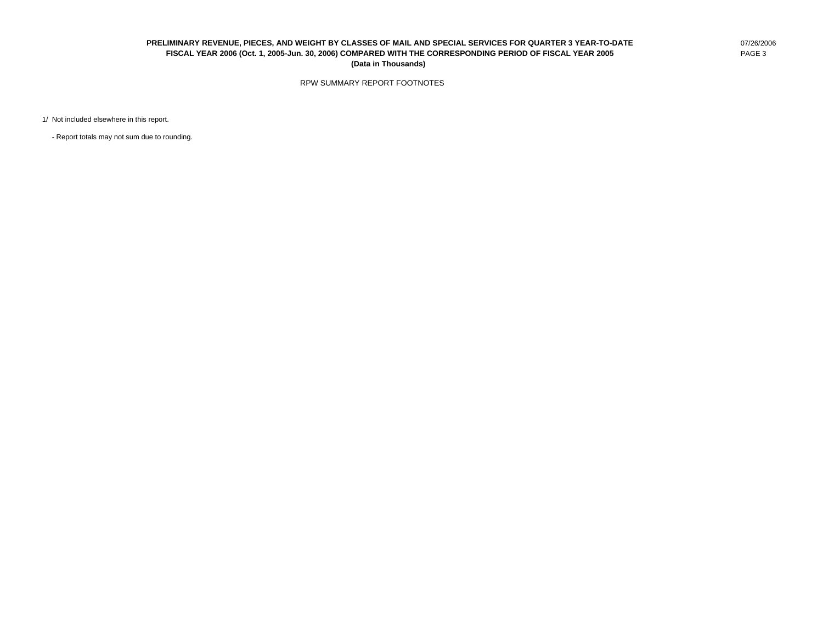### **PRELIMINARY REVENUE, PIECES, AND WEIGHT BY CLASSES OF MAIL AND SPECIAL SERVICES FOR QUARTER 3 YEAR-TO-DATE** 07/26/2006 **FISCAL YEAR 2006 (Oct. 1, 2005-Jun. 30, 2006) COMPARED WITH THE CORRESPONDING PERIOD OF FISCAL YEAR 2005** PAGE 3 **(Data in Thousands)**

RPW SUMMARY REPORT FOOTNOTES

1/ Not included elsewhere in this report.

- Report totals may not sum due to rounding.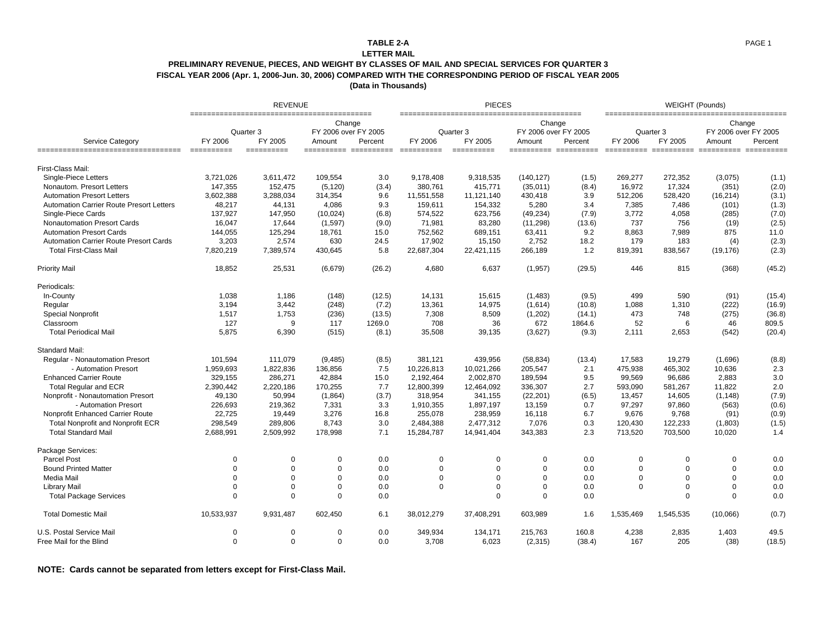### **TABLE 2-A**

#### **LETTER MAIL**

### **PRELIMINARY REVENUE, PIECES, AND WEIGHT BY CLASSES OF MAIL AND SPECIAL SERVICES FOR QUARTER 3 FISCAL YEAR 2006 (Apr. 1, 2006-Jun. 30, 2006) COMPARED WITH THE CORRESPONDING PERIOD OF FISCAL YEAR 2005**

**(Data in Thousands)**

|                                                 |             | <b>REVENUE</b>       |                                          |         |             | <b>PIECES</b>        |                                          |         |           | WEIGHT (Pounds)      |                                          |         |
|-------------------------------------------------|-------------|----------------------|------------------------------------------|---------|-------------|----------------------|------------------------------------------|---------|-----------|----------------------|------------------------------------------|---------|
| Service Category                                | FY 2006     | Quarter 3<br>FY 2005 | Change<br>FY 2006 over FY 2005<br>Amount | Percent | FY 2006     | Quarter 3<br>FY 2005 | Change<br>FY 2006 over FY 2005<br>Amount | Percent | FY 2006   | Quarter 3<br>FY 2005 | Change<br>FY 2006 over FY 2005<br>Amount | Percent |
| ------------------------------------            |             | ==========           |                                          |         |             | ==========           |                                          |         |           |                      |                                          |         |
| First-Class Mail:                               |             |                      |                                          |         |             |                      |                                          |         |           |                      |                                          |         |
| Single-Piece Letters                            | 3,721,026   | 3,611,472            | 109,554                                  | 3.0     | 9,178,408   | 9,318,535            | (140, 127)                               | (1.5)   | 269,277   | 272,352              | (3,075)                                  | (1.1)   |
| Nonautom. Presort Letters                       | 147,355     | 152,475              | (5, 120)                                 | (3.4)   | 380,761     | 415,771              | (35,011)                                 | (8.4)   | 16,972    | 17.324               | (351)                                    | (2.0)   |
| <b>Automation Presort Letters</b>               | 3,602,388   | 3,288,034            | 314,354                                  | 9.6     | 11,551,558  | 11,121,140           | 430,418                                  | 3.9     | 512,206   | 528,420              | (16, 214)                                | (3.1)   |
| <b>Automation Carrier Route Presort Letters</b> | 48,217      | 44,131               | 4,086                                    | 9.3     | 159,611     | 154,332              | 5,280                                    | 3.4     | 7,385     | 7,486                | (101)                                    | (1.3)   |
| Single-Piece Cards                              | 137,927     | 147,950              | (10, 024)                                | (6.8)   | 574,522     | 623,756              | (49, 234)                                | (7.9)   | 3,772     | 4,058                | (285)                                    | (7.0)   |
| Nonautomation Presort Cards                     | 16,047      | 17,644               | (1,597)                                  | (9.0)   | 71,981      | 83,280               | (11, 298)                                | (13.6)  | 737       | 756                  | (19)                                     | (2.5)   |
| <b>Automation Presort Cards</b>                 | 144,055     | 125,294              | 18,761                                   | 15.0    | 752,562     | 689,151              | 63,411                                   | 9.2     | 8,863     | 7,989                | 875                                      | 11.0    |
| <b>Automation Carrier Route Presort Cards</b>   | 3,203       | 2,574                | 630                                      | 24.5    | 17,902      | 15,150               | 2,752                                    | 18.2    | 179       | 183                  | (4)                                      | (2.3)   |
| <b>Total First-Class Mail</b>                   | 7,820,219   | 7,389,574            | 430,645                                  | 5.8     | 22,687,304  | 22,421,115           | 266,189                                  | 1.2     | 819,391   | 838,567              | (19, 176)                                | (2.3)   |
| <b>Priority Mail</b>                            | 18,852      | 25,531               | (6,679)                                  | (26.2)  | 4,680       | 6,637                | (1,957)                                  | (29.5)  | 446       | 815                  | (368)                                    | (45.2)  |
| Periodicals:                                    |             |                      |                                          |         |             |                      |                                          |         |           |                      |                                          |         |
| In-County                                       | 1,038       | 1,186                | (148)                                    | (12.5)  | 14,131      | 15,615               | (1,483)                                  | (9.5)   | 499       | 590                  | (91)                                     | (15.4)  |
| Regular                                         | 3,194       | 3,442                | (248)                                    | (7.2)   | 13,361      | 14,975               | (1,614)                                  | (10.8)  | 1,088     | 1,310                | (222)                                    | (16.9)  |
| <b>Special Nonprofit</b>                        | 1,517       | 1,753                | (236)                                    | (13.5)  | 7,308       | 8,509                | (1,202)                                  | (14.1)  | 473       | 748                  | (275)                                    | (36.8)  |
| Classroom                                       | 127         | 9                    | 117                                      | 1269.0  | 708         | 36                   | 672                                      | 1864.6  | 52        | 6                    | 46                                       | 809.5   |
| <b>Total Periodical Mail</b>                    | 5,875       | 6,390                | (515)                                    | (8.1)   | 35,508      | 39,135               | (3,627)                                  | (9.3)   | 2,111     | 2,653                | (542)                                    | (20.4)  |
| Standard Mail:                                  |             |                      |                                          |         |             |                      |                                          |         |           |                      |                                          |         |
| <b>Regular - Nonautomation Presort</b>          | 101,594     | 111,079              | (9,485)                                  | (8.5)   | 381,121     | 439,956              | (58, 834)                                | (13.4)  | 17,583    | 19,279               | (1,696)                                  | (8.8)   |
| - Automation Presort                            | 1,959,693   | 1,822,836            | 136,856                                  | 7.5     | 10,226,813  | 10,021,266           | 205,547                                  | 2.1     | 475,938   | 465,302              | 10,636                                   | 2.3     |
| <b>Enhanced Carrier Route</b>                   | 329,155     | 286,271              | 42,884                                   | 15.0    | 2,192,464   | 2,002,870            | 189,594                                  | 9.5     | 99,569    | 96,686               | 2.883                                    | 3.0     |
| <b>Total Regular and ECR</b>                    | 2,390,442   | 2,220,186            | 170,255                                  | 7.7     | 12,800,399  | 12,464,092           | 336,307                                  | 2.7     | 593,090   | 581,267              | 11.822                                   | 2.0     |
| Nonprofit - Nonautomation Presort               | 49,130      | 50,994               | (1,864)                                  | (3.7)   | 318,954     | 341,155              | (22, 201)                                | (6.5)   | 13,457    | 14,605               | (1, 148)                                 | (7.9)   |
| - Automation Presort                            | 226,693     | 219,362              | 7,331                                    | 3.3     | 1,910,355   | 1,897,197            | 13,159                                   | 0.7     | 97,297    | 97,860               | (563)                                    | (0.6)   |
| Nonprofit Enhanced Carrier Route                | 22,725      | 19,449               | 3,276                                    | 16.8    | 255,078     | 238,959              | 16,118                                   | 6.7     | 9,676     | 9,768                | (91)                                     | (0.9)   |
| Total Nonprofit and Nonprofit ECR               | 298,549     | 289,806              | 8,743                                    | 3.0     | 2,484,388   | 2,477,312            | 7,076                                    | 0.3     | 120,430   | 122,233              | (1,803)                                  | (1.5)   |
| <b>Total Standard Mail</b>                      | 2,688,991   | 2,509,992            | 178,998                                  | 7.1     | 15,284,787  | 14,941,404           | 343,383                                  | 2.3     | 713,520   | 703,500              | 10,020                                   | 1.4     |
| Package Services:                               |             |                      |                                          |         |             |                      |                                          |         |           |                      |                                          |         |
| Parcel Post                                     | $\mathbf 0$ | $\mathbf 0$          | $\Omega$                                 | 0.0     | 0           | $\Omega$             | $\mathbf 0$                              | 0.0     | 0         | $\mathbf 0$          | $\mathbf 0$                              | 0.0     |
| <b>Bound Printed Matter</b>                     | $\Omega$    | $\Omega$             | $\Omega$                                 | 0.0     | $\Omega$    | $\Omega$             | $\Omega$                                 | 0.0     | 0         | $\Omega$             | $\Omega$                                 | 0.0     |
| Media Mail                                      | $\Omega$    | $\Omega$             | $\Omega$                                 | 0.0     | $\mathbf 0$ | $\Omega$             | $\Omega$                                 | 0.0     | 0         | $\Omega$             | $\Omega$                                 | 0.0     |
| Library Mail                                    | $\Omega$    | $\Omega$             | $\Omega$                                 | 0.0     | $\Omega$    | $\Omega$             | $\Omega$                                 | 0.0     | $\Omega$  | $\Omega$             | $\Omega$                                 | 0.0     |
| <b>Total Package Services</b>                   | $\Omega$    | $\mathbf 0$          | $\Omega$                                 | 0.0     |             | $\Omega$             | $\Omega$                                 | 0.0     |           | $\Omega$             | $\mathbf 0$                              | 0.0     |
| <b>Total Domestic Mail</b>                      | 10,533,937  | 9,931,487            | 602.450                                  | 6.1     | 38,012,279  | 37,408,291           | 603,989                                  | 1.6     | 1,535,469 | 1,545,535            | (10,066)                                 | (0.7)   |
| U.S. Postal Service Mail                        | $\mathbf 0$ | $\mathbf 0$          | $\Omega$                                 | 0.0     | 349,934     | 134,171              | 215,763                                  | 160.8   | 4,238     | 2,835                | 1,403                                    | 49.5    |
| Free Mail for the Blind                         | $\Omega$    | $\Omega$             | $\mathbf 0$                              | 0.0     | 3,708       | 6,023                | (2,315)                                  | (38.4)  | 167       | 205                  | (38)                                     | (18.5)  |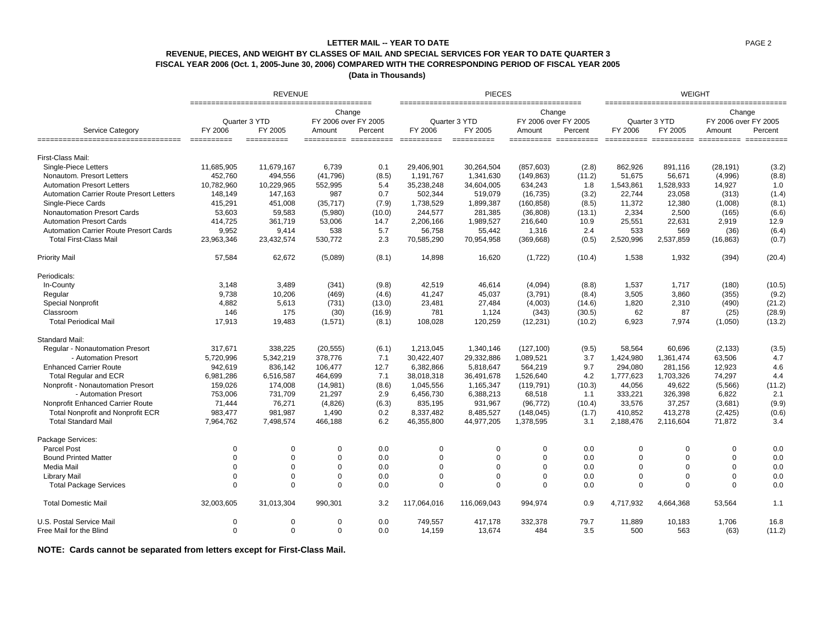## **REVENUE, PIECES, AND WEIGHT BY CLASSES OF MAIL AND SPECIAL SERVICES FOR YEAR TO DATE QUARTER 3 FISCAL YEAR 2006 (Oct. 1, 2005-June 30, 2006) COMPARED WITH THE CORRESPONDING PERIOD OF FISCAL YEAR 2005 LETTER MAIL -- YEAR TO DATE**

**(Data in Thousands)** 

|                                                           |                       | <b>REVENUE</b>        |                                  |         |                  | <b>PIECES</b> |                                |                 |           | <b>WEIGHT</b><br>Change<br>Quarter 3 YTD<br>FY 2006 over FY 2005<br>FY 2005<br>Percent<br>Amount<br>========== ========== ========== ===<br>(28, 191)<br>891,116<br>56,671<br>(4,996)<br>1,528,933<br>14,927<br>23,058<br>(313)<br>12,380<br>(1,008)<br>2,334<br>2,500<br>(165)<br>22,631<br>2,919<br>569<br>533<br>(36)<br>2,537,859<br>(16, 863)<br>1,538<br>1,932<br>(394)<br>1,537<br>1,717<br>(180)<br>3,505<br>3,860<br>(355)<br>1,820<br>2,310<br>(490)<br>62<br>87<br>(25) |             |        |  |
|-----------------------------------------------------------|-----------------------|-----------------------|----------------------------------|---------|------------------|---------------|--------------------------------|-----------------|-----------|------------------------------------------------------------------------------------------------------------------------------------------------------------------------------------------------------------------------------------------------------------------------------------------------------------------------------------------------------------------------------------------------------------------------------------------------------------------------------------|-------------|--------|--|
|                                                           | Quarter 3 YTD         |                       | Change<br>FY 2006 over FY 2005   |         |                  | Quarter 3 YTD | Change<br>FY 2006 over FY 2005 |                 |           |                                                                                                                                                                                                                                                                                                                                                                                                                                                                                    |             |        |  |
| Service Category<br>===================================== | FY 2006<br>========== | FY 2005<br>========== | Amount<br>====================== | Percent | FY 2006<br>===== | FY 2005       | Amount<br>=================    | Percent<br>==== | FY 2006   |                                                                                                                                                                                                                                                                                                                                                                                                                                                                                    |             |        |  |
| First-Class Mail:                                         |                       |                       |                                  |         |                  |               |                                |                 |           |                                                                                                                                                                                                                                                                                                                                                                                                                                                                                    |             |        |  |
| Single-Piece Letters                                      | 11,685,905            | 11,679,167            | 6,739                            | 0.1     | 29,406,901       | 30,264,504    | (857, 603)                     | (2.8)           | 862,926   |                                                                                                                                                                                                                                                                                                                                                                                                                                                                                    |             | (3.2)  |  |
| Nonautom. Presort Letters                                 | 452,760               | 494,556               | (41,796)                         | (8.5)   | 1,191,767        | 1,341,630     | (149, 863)                     | (11.2)          | 51,675    |                                                                                                                                                                                                                                                                                                                                                                                                                                                                                    |             | (8.8)  |  |
| <b>Automation Presort Letters</b>                         | 10,782,960            | 10,229,965            | 552,995                          | 5.4     | 35,238,248       | 34,604,005    | 634,243                        | 1.8             | 1,543,861 |                                                                                                                                                                                                                                                                                                                                                                                                                                                                                    |             | 1.0    |  |
| <b>Automation Carrier Route Presort Letters</b>           | 148,149               | 147,163               | 987                              | 0.7     | 502,344          | 519,079       | (16, 735)                      | (3.2)           | 22,744    |                                                                                                                                                                                                                                                                                                                                                                                                                                                                                    |             | (1.4)  |  |
| Single-Piece Cards                                        | 415,291               | 451,008               | (35, 717)                        | (7.9)   | 1,738,529        | 1,899,387     | (160, 858)                     | (8.5)           | 11,372    |                                                                                                                                                                                                                                                                                                                                                                                                                                                                                    |             | (8.1)  |  |
| Nonautomation Presort Cards                               | 53,603                | 59,583                | (5,980)                          | (10.0)  | 244,577          | 281,385       | (36, 808)                      | (13.1)          |           |                                                                                                                                                                                                                                                                                                                                                                                                                                                                                    |             | (6.6)  |  |
| <b>Automation Presort Cards</b>                           | 414,725               | 361,719               | 53,006                           | 14.7    | 2,206,166        | 1,989,527     | 216,640                        | 10.9            | 25,551    |                                                                                                                                                                                                                                                                                                                                                                                                                                                                                    |             | 12.9   |  |
| <b>Automation Carrier Route Presort Cards</b>             | 9,952                 | 9,414                 | 538                              | 5.7     | 56,758           | 55,442        | 1,316                          | 2.4             |           |                                                                                                                                                                                                                                                                                                                                                                                                                                                                                    |             | (6.4)  |  |
| <b>Total First-Class Mail</b>                             | 23,963,346            | 23,432,574            | 530,772                          | 2.3     | 70,585,290       | 70,954,958    | (369, 668)                     | (0.5)           | 2,520,996 |                                                                                                                                                                                                                                                                                                                                                                                                                                                                                    |             | (0.7)  |  |
| Priority Mail                                             | 57,584                | 62,672                | (5,089)                          | (8.1)   | 14,898           | 16,620        | (1,722)                        | (10.4)          |           |                                                                                                                                                                                                                                                                                                                                                                                                                                                                                    |             | (20.4) |  |
| Periodicals:                                              |                       |                       |                                  |         |                  |               |                                |                 |           |                                                                                                                                                                                                                                                                                                                                                                                                                                                                                    |             |        |  |
| In-County                                                 | 3,148                 | 3,489                 | (341)                            | (9.8)   | 42,519           | 46,614        | (4,094)                        | (8.8)           |           |                                                                                                                                                                                                                                                                                                                                                                                                                                                                                    |             | (10.5) |  |
| Regular                                                   | 9,738                 | 10,206                | (469)                            | (4.6)   | 41,247           | 45,037        | (3,791)                        | (8.4)           |           |                                                                                                                                                                                                                                                                                                                                                                                                                                                                                    |             | (9.2)  |  |
| <b>Special Nonprofit</b>                                  | 4,882                 | 5,613                 | (731)                            | (13.0)  | 23,481           | 27,484        | (4,003)                        | (14.6)          |           |                                                                                                                                                                                                                                                                                                                                                                                                                                                                                    |             | (21.2) |  |
| Classroom                                                 | 146                   | 175                   | (30)                             | (16.9)  | 781              | 1,124         | (343)                          | (30.5)          |           |                                                                                                                                                                                                                                                                                                                                                                                                                                                                                    |             | (28.9) |  |
| <b>Total Periodical Mail</b>                              | 17,913                | 19,483                | (1,571)                          | (8.1)   | 108,028          | 120,259       | (12, 231)                      | (10.2)          | 6,923     | 7,974                                                                                                                                                                                                                                                                                                                                                                                                                                                                              | (1,050)     | (13.2) |  |
| Standard Mail:                                            |                       |                       |                                  |         |                  |               |                                |                 |           |                                                                                                                                                                                                                                                                                                                                                                                                                                                                                    |             |        |  |
| Regular - Nonautomation Presort                           | 317.671               | 338.225               | (20, 555)                        | (6.1)   | 1.213.045        | 1,340,146     | (127, 100)                     | (9.5)           | 58.564    | 60.696                                                                                                                                                                                                                                                                                                                                                                                                                                                                             | (2, 133)    | (3.5)  |  |
| - Automation Presort                                      | 5,720,996             | 5,342,219             | 378,776                          | 7.1     | 30,422,407       | 29,332,886    | 1,089,521                      | 3.7             | 1,424,980 | 1,361,474                                                                                                                                                                                                                                                                                                                                                                                                                                                                          | 63,506      | 4.7    |  |
| <b>Enhanced Carrier Route</b>                             | 942.619               | 836,142               | 106.477                          | 12.7    | 6.382.866        | 5,818,647     | 564,219                        | 9.7             | 294,080   | 281,156                                                                                                                                                                                                                                                                                                                                                                                                                                                                            | 12.923      | 4.6    |  |
| <b>Total Regular and ECR</b>                              | 6,981,286             | 6,516,587             | 464,699                          | 7.1     | 38,018,318       | 36,491,678    | 1,526,640                      | 4.2             | 1,777,623 | 1,703,326                                                                                                                                                                                                                                                                                                                                                                                                                                                                          | 74,297      | 4.4    |  |
| Nonprofit - Nonautomation Presort                         | 159,026               | 174,008               | (14,981)                         | (8.6)   | 1.045.556        | 1,165,347     | (119, 791)                     | (10.3)          | 44,056    | 49.622                                                                                                                                                                                                                                                                                                                                                                                                                                                                             | (5,566)     | (11.2) |  |
| - Automation Presort                                      | 753,006               | 731,709               | 21,297                           | 2.9     | 6,456,730        | 6,388,213     | 68,518                         | 1.1             | 333,221   | 326,398                                                                                                                                                                                                                                                                                                                                                                                                                                                                            | 6.822       | 2.1    |  |
| Nonprofit Enhanced Carrier Route                          | 71,444                | 76,271                | (4,826)                          | (6.3)   | 835,195          | 931,967       | (96, 772)                      | (10.4)          | 33,576    | 37,257                                                                                                                                                                                                                                                                                                                                                                                                                                                                             | (3,681)     | (9.9)  |  |
| <b>Total Nonprofit and Nonprofit ECR</b>                  | 983,477               | 981,987               | 1,490                            | 0.2     | 8,337,482        | 8,485,527     | (148, 045)                     | (1.7)           | 410,852   | 413,278                                                                                                                                                                                                                                                                                                                                                                                                                                                                            | (2, 425)    | (0.6)  |  |
| <b>Total Standard Mail</b>                                | 7,964,762             | 7,498,574             | 466,188                          | 6.2     | 46,355,800       | 44,977,205    | 1,378,595                      | 3.1             | 2,188,476 | 2,116,604                                                                                                                                                                                                                                                                                                                                                                                                                                                                          | 71,872      | 3.4    |  |
| Package Services:                                         |                       |                       |                                  |         |                  |               |                                |                 |           |                                                                                                                                                                                                                                                                                                                                                                                                                                                                                    |             |        |  |
| Parcel Post                                               | $\mathbf 0$           | $\mathbf 0$           | $\Omega$                         | 0.0     | $\mathbf 0$      | $\Omega$      | 0                              | 0.0             | 0         | $\mathbf 0$                                                                                                                                                                                                                                                                                                                                                                                                                                                                        | $\mathbf 0$ | 0.0    |  |
| <b>Bound Printed Matter</b>                               | $\mathbf 0$           | $\Omega$              | $\Omega$                         | 0.0     | $\mathbf 0$      | $\Omega$      | $\mathbf 0$                    | 0.0             | $\Omega$  | $\Omega$                                                                                                                                                                                                                                                                                                                                                                                                                                                                           | $\mathbf 0$ | 0.0    |  |
| Media Mail                                                | $\Omega$              | $\Omega$              | $\mathbf 0$                      | 0.0     | $\mathbf 0$      | $\Omega$      | $\mathbf 0$                    | 0.0             | $\Omega$  | $\Omega$                                                                                                                                                                                                                                                                                                                                                                                                                                                                           | $\Omega$    | 0.0    |  |
| Library Mail                                              | $\mathbf 0$           | $\Omega$              | $\Omega$                         | 0.0     | $\mathbf 0$      | $\Omega$      | $\Omega$                       | 0.0             | $\Omega$  | $\Omega$                                                                                                                                                                                                                                                                                                                                                                                                                                                                           | $\mathbf 0$ | 0.0    |  |
| <b>Total Package Services</b>                             | $\Omega$              | $\Omega$              | $\Omega$                         | 0.0     | $\Omega$         | $\Omega$      | $\Omega$                       | 0.0             | $\Omega$  | $\Omega$                                                                                                                                                                                                                                                                                                                                                                                                                                                                           | $\Omega$    | 0.0    |  |
| <b>Total Domestic Mail</b>                                | 32,003,605            | 31,013,304            | 990,301                          | 3.2     | 117,064,016      | 116,069,043   | 994,974                        | 0.9             | 4,717,932 | 4,664,368                                                                                                                                                                                                                                                                                                                                                                                                                                                                          | 53,564      | 1.1    |  |
| U.S. Postal Service Mail                                  | $\Omega$              | $\Omega$              | $\Omega$                         | 0.0     | 749,557          | 417,178       | 332,378                        | 79.7            | 11,889    | 10,183                                                                                                                                                                                                                                                                                                                                                                                                                                                                             | 1,706       | 16.8   |  |
| Free Mail for the Blind                                   | $\Omega$              | $\Omega$              | $\Omega$                         | 0.0     | 14,159           | 13,674        | 484                            | 3.5             | 500       | 563                                                                                                                                                                                                                                                                                                                                                                                                                                                                                | (63)        | (11.2) |  |

**NOTE: Cards cannot be separated from letters except for First-Class Mail.**

PAGE 2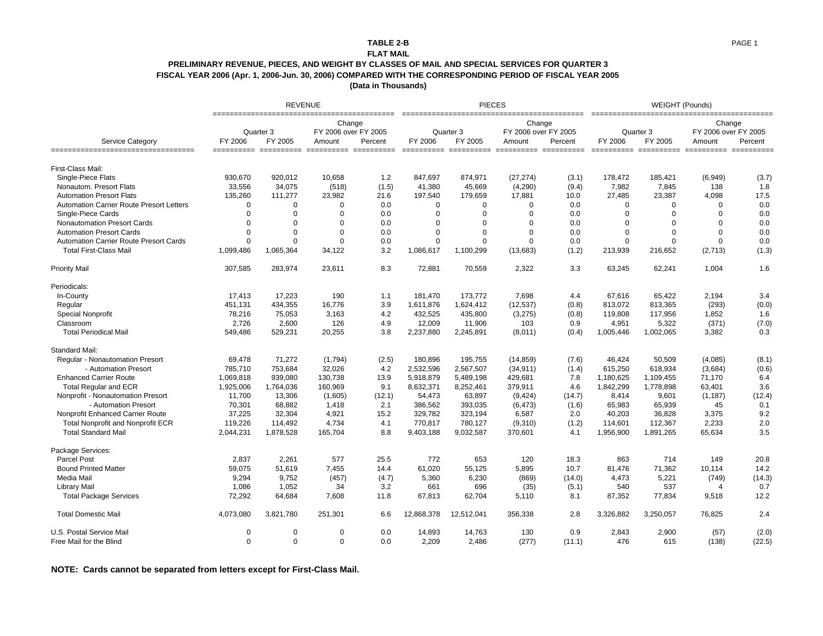## **TABLE 2-B**

#### **FLAT MAIL**

### **PRELIMINARY REVENUE, PIECES, AND WEIGHT BY CLASSES OF MAIL AND SPECIAL SERVICES FOR QUARTER 3 FISCAL YEAR 2006 (Apr. 1, 2006-Jun. 30, 2006) COMPARED WITH THE CORRESPONDING PERIOD OF FISCAL YEAR 2005**

**(Data in Thousands)**

|                                                 |             | <b>REVENUE</b> |                                |         |                      | <b>PIECES</b> |                                |                 |             | WEIGHT (Pounds) |                                |         |
|-------------------------------------------------|-------------|----------------|--------------------------------|---------|----------------------|---------------|--------------------------------|-----------------|-------------|-----------------|--------------------------------|---------|
| Service Category                                |             | Quarter 3      | Change<br>FY 2006 over FY 2005 |         |                      | Quarter 3     | Change<br>FY 2006 over FY 2005 |                 |             | Quarter 3       | Change<br>FY 2006 over FY 2005 |         |
| ___________________________________             | FY 2006     | FY 2005        | Amount                         | Percent | FY 2006<br>$= = = =$ | FY 2005       | Amount                         | Percent<br>==== | FY 2006     | FY 2005         | Amount<br>====== ========== == | Percent |
| First-Class Mail:                               |             |                |                                |         |                      |               |                                |                 |             |                 |                                |         |
| Single-Piece Flats                              | 930,670     | 920,012        | 10,658                         | 1.2     | 847,697              | 874,971       | (27, 274)                      | (3.1)           | 178,472     | 185,421         | (6,949)                        | (3.7)   |
| Nonautom. Presort Flats                         | 33,556      | 34,075         | (518)                          | (1.5)   | 41,380               | 45.669        | (4,290)                        | (9.4)           | 7,982       | 7,845           | 138                            | 1.8     |
| <b>Automation Presort Flats</b>                 | 135,260     | 111,277        | 23,982                         | 21.6    | 197,540              | 179,659       | 17,881                         | 10.0            | 27,485      | 23,387          | 4,098                          | 17.5    |
| <b>Automation Carrier Route Presort Letters</b> | 0           | $\Omega$       | $\Omega$                       | 0.0     | $\mathbf 0$          | $\Omega$      | $\Omega$                       | 0.0             | $\Omega$    | $\mathbf 0$     | $\Omega$                       | 0.0     |
| Single-Piece Cards                              | $\mathbf 0$ | $\Omega$       | $\Omega$                       | 0.0     | $\mathbf 0$          | $\Omega$      | $\Omega$                       | 0.0             | $\Omega$    | $\mathbf 0$     | $\Omega$                       | 0.0     |
| <b>Nonautomation Presort Cards</b>              | 0           | $\Omega$       | $\Omega$                       | 0.0     | $\Omega$             | $\Omega$      | $\Omega$                       | 0.0             | $\Omega$    | $\Omega$        | $\Omega$                       | 0.0     |
| <b>Automation Presort Cards</b>                 | $\mathbf 0$ | $\Omega$       | $\mathbf 0$                    | 0.0     | $\mathbf 0$          | $\Omega$      | $\Omega$                       | 0.0             | $\mathbf 0$ | $\mathbf 0$     | $\Omega$                       | 0.0     |
| Automation Carrier Route Presort Cards          | $\mathbf 0$ | $\Omega$       | $\mathbf 0$                    | 0.0     | $\mathbf 0$          | $\Omega$      | $\Omega$                       | 0.0             | $\Omega$    | $\mathbf 0$     | $\mathbf 0$                    | 0.0     |
| <b>Total First-Class Mail</b>                   | 1,099,486   | 1,065,364      | 34,122                         | 3.2     | 1,086,617            | 1,100,299     | (13,683)                       | (1.2)           | 213,939     | 216,652         | (2,713)                        | (1.3)   |
| <b>Priority Mail</b>                            | 307,585     | 283,974        | 23,611                         | 8.3     | 72,881               | 70,559        | 2,322                          | 3.3             | 63,245      | 62,241          | 1,004                          | 1.6     |
| Periodicals:                                    |             |                |                                |         |                      |               |                                |                 |             |                 |                                |         |
| In-County                                       | 17,413      | 17,223         | 190                            | 1.1     | 181,470              | 173,772       | 7,698                          | 4.4             | 67,616      | 65,422          | 2,194                          | 3.4     |
| Regular                                         | 451,131     | 434,355        | 16,776                         | 3.9     | 1,611,876            | 1,624,412     | (12, 537)                      | (0.8)           | 813,072     | 813,365         | (293)                          | (0.0)   |
| <b>Special Nonprofit</b>                        | 78,216      | 75,053         | 3,163                          | 4.2     | 432,525              | 435,800       | (3,275)                        | (0.8)           | 119,808     | 117,956         | 1,852                          | 1.6     |
| Classroom                                       | 2,726       | 2,600          | 126                            | 4.9     | 12,009               | 11,906        | 103                            | 0.9             | 4,951       | 5,322           | (371)                          | (7.0)   |
| <b>Total Periodical Mail</b>                    | 549,486     | 529,231        | 20,255                         | 3.8     | 2,237,880            | 2,245,891     | (8,011)                        | (0.4)           | 1,005,446   | 1,002,065       | 3,382                          | 0.3     |
| <b>Standard Mail:</b>                           |             |                |                                |         |                      |               |                                |                 |             |                 |                                |         |
| Regular - Nonautomation Presort                 | 69,478      | 71,272         | (1,794)                        | (2.5)   | 180.896              | 195,755       | (14, 859)                      | (7.6)           | 46.424      | 50,509          | (4,085)                        | (8.1)   |
| - Automation Presort                            | 785,710     | 753,684        | 32,026                         | 4.2     | 2,532,596            | 2,567,507     | (34, 911)                      | (1.4)           | 615,250     | 618,934         | (3,684)                        | (0.6)   |
| <b>Enhanced Carrier Route</b>                   | 1,069,818   | 939,080        | 130,738                        | 13.9    | 5,918,879            | 5,489,198     | 429,681                        | 7.8             | 1,180,625   | 1,109,455       | 71,170                         | 6.4     |
| <b>Total Regular and ECR</b>                    | 1,925,006   | 1,764,036      | 160,969                        | 9.1     | 8,632,371            | 8,252,461     | 379,911                        | 4.6             | 1,842,299   | 1,778,898       | 63,401                         | 3.6     |
| Nonprofit - Nonautomation Presort               | 11,700      | 13,306         | (1,605)                        | (12.1)  | 54,473               | 63,897        | (9,424)                        | (14.7)          | 8,414       | 9,601           | (1, 187)                       | (12.4)  |
| - Automation Presort                            | 70,301      | 68,882         | 1,418                          | 2.1     | 386,562              | 393,035       | (6, 473)                       | (1.6)           | 65,983      | 65,939          | 45                             | 0.1     |
| Nonprofit Enhanced Carrier Route                | 37.225      | 32,304         | 4,921                          | 15.2    | 329.782              | 323,194       | 6,587                          | 2.0             | 40,203      | 36,828          | 3,375                          | 9.2     |
| <b>Total Nonprofit and Nonprofit ECR</b>        | 119,226     | 114,492        | 4,734                          | 4.1     | 770,817              | 780,127       | (9,310)                        | (1.2)           | 114,601     | 112,367         | 2,233                          | 2.0     |
| <b>Total Standard Mail</b>                      | 2,044,231   | 1,878,528      | 165,704                        | 8.8     | 9,403,188            | 9,032,587     | 370,601                        | 4.1             | 1,956,900   | 1,891,265       | 65,634                         | 3.5     |
| Package Services:                               |             |                |                                |         |                      |               |                                |                 |             |                 |                                |         |
| <b>Parcel Post</b>                              | 2.837       | 2,261          | 577                            | 25.5    | 772                  | 653           | 120                            | 18.3            | 863         | 714             | 149                            | 20.8    |
| <b>Bound Printed Matter</b>                     | 59,075      | 51,619         | 7.455                          | 14.4    | 61,020               | 55,125        | 5.895                          | 10.7            | 81,476      | 71,362          | 10,114                         | 14.2    |
| Media Mail                                      | 9.294       | 9,752          | (457)                          | (4.7)   | 5,360                | 6,230         | (869)                          | (14.0)          | 4,473       | 5,221           | (749)                          | (14.3)  |
| Library Mail                                    | 1.086       | 1,052          | 34                             | 3.2     | 661                  | 696           | (35)                           | (5.1)           | 540         | 537             | 4                              | 0.7     |
| <b>Total Package Services</b>                   | 72,292      | 64,684         | 7,608                          | 11.8    | 67,813               | 62,704        | 5,110                          | 8.1             | 87,352      | 77,834          | 9,518                          | 12.2    |
| <b>Total Domestic Mail</b>                      | 4,073,080   | 3,821,780      | 251,301                        | 6.6     | 12,868,378           | 12,512,041    | 356,338                        | 2.8             | 3,326,882   | 3,250,057       | 76,825                         | 2.4     |
| U.S. Postal Service Mail                        | $\mathbf 0$ | $\Omega$       | $\mathbf 0$                    | 0.0     | 14,893               | 14,763        | 130                            | 0.9             | 2,843       | 2,900           | (57)                           | (2.0)   |
| Free Mail for the Blind                         | 0           | $\Omega$       | $\mathbf 0$                    | 0.0     | 2,209                | 2,486         | (277)                          | (11.1)          | 476         | 615             | (138)                          | (22.5)  |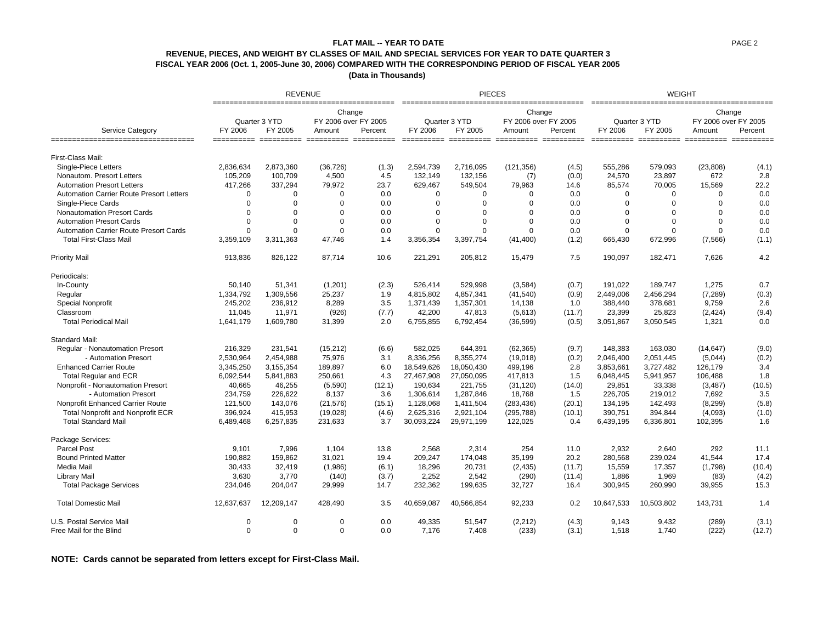# **REVENUE, PIECES, AND WEIGHT BY CLASSES OF MAIL AND SPECIAL SERVICES FOR YEAR TO DATE QUARTER 3 FISCAL YEAR 2006 (Oct. 1, 2005-June 30, 2006) COMPARED WITH THE CORRESPONDING PERIOD OF FISCAL YEAR 2005 FLAT MAIL -- YEAR TO DATE**

**(Data in Thousands)** 

|                                                          |                 | <b>REVENUE</b>           |                                |         |                   | <b>PIECES</b>                      |                                |                                 |            | <b>WEIGHT</b><br>__________________<br>-------------------<br>Change<br>Quarter 3 YTD<br>FY 2006 over FY 2005<br>FY 2005<br>Percent<br>Amount<br>========== ========== ========== ==<br>579,093<br>(23, 808)<br>23,897<br>672<br>15,569<br>70,005<br>$\Omega$<br>$\Omega$<br>$\Omega$<br>$\Omega$<br>$\mathbf 0$<br>$\Omega$<br>$\Omega$<br>$\mathbf 0$<br>$\Omega$<br>$\Omega$<br>0<br>$\Omega$ |             |        |  |
|----------------------------------------------------------|-----------------|--------------------------|--------------------------------|---------|-------------------|------------------------------------|--------------------------------|---------------------------------|------------|--------------------------------------------------------------------------------------------------------------------------------------------------------------------------------------------------------------------------------------------------------------------------------------------------------------------------------------------------------------------------------------------------|-------------|--------|--|
|                                                          |                 | Quarter 3 YTD            | Change<br>FY 2006 over FY 2005 |         |                   | Quarter 3 YTD                      | Change<br>FY 2006 over FY 2005 | _____________                   |            |                                                                                                                                                                                                                                                                                                                                                                                                  |             |        |  |
| Service Category<br>____________________________________ | FY 2006<br>$==$ | FY 2005<br>.=====  ===== | Amount                         | Percent | FY 2006<br>$====$ | FY 2005<br>====== ========== ===== | Amount                         | Percent<br>===== ======<br>==== | FY 2006    |                                                                                                                                                                                                                                                                                                                                                                                                  |             |        |  |
| First-Class Mail:                                        |                 |                          |                                |         |                   |                                    |                                |                                 |            |                                                                                                                                                                                                                                                                                                                                                                                                  |             |        |  |
| Single-Piece Letters                                     | 2,836,634       | 2,873,360                | (36, 726)                      | (1.3)   | 2,594,739         | 2,716,095                          | (121, 356)                     | (4.5)                           | 555,286    |                                                                                                                                                                                                                                                                                                                                                                                                  |             | (4.1)  |  |
| Nonautom. Presort Letters                                | 105,209         | 100,709                  | 4,500                          | 4.5     | 132,149           | 132,156                            | (7)                            | (0.0)                           | 24,570     |                                                                                                                                                                                                                                                                                                                                                                                                  |             | 2.8    |  |
| <b>Automation Presort Letters</b>                        | 417,266         | 337,294                  | 79,972                         | 23.7    | 629,467           | 549,504                            | 79,963                         | 14.6                            | 85,574     |                                                                                                                                                                                                                                                                                                                                                                                                  |             | 22.2   |  |
| <b>Automation Carrier Route Presort Letters</b>          | $\mathbf 0$     | $\Omega$                 | $\mathbf 0$                    | 0.0     | $\Omega$          | $\Omega$                           | $\Omega$                       | 0.0                             |            |                                                                                                                                                                                                                                                                                                                                                                                                  |             | 0.0    |  |
| Single-Piece Cards                                       | $\mathbf 0$     | $\Omega$                 | $\overline{0}$                 | 0.0     | $\Omega$          | $\Omega$                           | $\Omega$                       | 0.0                             |            |                                                                                                                                                                                                                                                                                                                                                                                                  |             | 0.0    |  |
| <b>Nonautomation Presort Cards</b>                       | 0               | $\Omega$                 | $\Omega$                       | 0.0     | $\Omega$          | $\Omega$                           | $\Omega$                       | 0.0                             |            |                                                                                                                                                                                                                                                                                                                                                                                                  |             | 0.0    |  |
| <b>Automation Presort Cards</b>                          | $\mathbf 0$     | $\Omega$                 | $\overline{0}$                 | 0.0     | $\Omega$          | $\Omega$                           | $\mathbf 0$                    | 0.0                             |            |                                                                                                                                                                                                                                                                                                                                                                                                  |             | 0.0    |  |
| Automation Carrier Route Presort Cards                   | $\mathbf 0$     | $\Omega$                 | $\overline{0}$                 | 0.0     | $\Omega$          | $\mathbf 0$                        | $\Omega$                       | 0.0                             | $\Omega$   | $\mathbf 0$                                                                                                                                                                                                                                                                                                                                                                                      | $\mathbf 0$ | 0.0    |  |
| <b>Total First-Class Mail</b>                            | 3,359,109       | 3,311,363                | 47,746                         | 1.4     | 3,356,354         | 3,397,754                          | (41, 400)                      | (1.2)                           | 665,430    | 672,996                                                                                                                                                                                                                                                                                                                                                                                          | (7, 566)    | (1.1)  |  |
| <b>Priority Mail</b>                                     | 913,836         | 826,122                  | 87,714                         | 10.6    | 221,291           | 205,812                            | 15,479                         | 7.5                             | 190,097    | 182,471                                                                                                                                                                                                                                                                                                                                                                                          | 7,626       | 4.2    |  |
| Periodicals:                                             |                 |                          |                                |         |                   |                                    |                                |                                 |            |                                                                                                                                                                                                                                                                                                                                                                                                  |             |        |  |
| In-County                                                | 50,140          | 51,341                   | (1,201)                        | (2.3)   | 526,414           | 529,998                            | (3,584)                        | (0.7)                           | 191,022    | 189,747                                                                                                                                                                                                                                                                                                                                                                                          | 1,275       | 0.7    |  |
| Regular                                                  | 1,334,792       | 1,309,556                | 25,237                         | 1.9     | 4,815,802         | 4,857,341                          | (41, 540)                      | (0.9)                           | 2,449,006  | 2,456,294                                                                                                                                                                                                                                                                                                                                                                                        | (7, 289)    | (0.3)  |  |
| Special Nonprofit                                        | 245,202         | 236,912                  | 8,289                          | 3.5     | 1,371,439         | 1,357,301                          | 14,138                         | 1.0                             | 388,440    | 378,681                                                                                                                                                                                                                                                                                                                                                                                          | 9,759       | 2.6    |  |
| Classroom                                                | 11,045          | 11,971                   | (926)                          | (7.7)   | 42,200            | 47,813                             | (5,613)                        | (11.7)                          | 23,399     | 25,823                                                                                                                                                                                                                                                                                                                                                                                           | (2, 424)    | (9.4)  |  |
| <b>Total Periodical Mail</b>                             | 1,641,179       | 1,609,780                | 31,399                         | 2.0     | 6,755,855         | 6,792,454                          | (36, 599)                      | (0.5)                           | 3,051,867  | 3,050,545                                                                                                                                                                                                                                                                                                                                                                                        | 1,321       | 0.0    |  |
| Standard Mail:                                           |                 |                          |                                |         |                   |                                    |                                |                                 |            |                                                                                                                                                                                                                                                                                                                                                                                                  |             |        |  |
| Regular - Nonautomation Presort                          | 216,329         | 231,541                  | (15, 212)                      | (6.6)   | 582.025           | 644,391                            | (62, 365)                      | (9.7)                           | 148.383    | 163,030                                                                                                                                                                                                                                                                                                                                                                                          | (14, 647)   | (9.0)  |  |
| - Automation Presort                                     | 2,530,964       | 2,454,988                | 75,976                         | 3.1     | 8,336,256         | 8,355,274                          | (19,018)                       | (0.2)                           | 2,046,400  | 2,051,445                                                                                                                                                                                                                                                                                                                                                                                        | (5,044)     | (0.2)  |  |
| <b>Enhanced Carrier Route</b>                            | 3,345,250       | 3,155,354                | 189,897                        | 6.0     | 18,549,626        | 18,050,430                         | 499,196                        | 2.8                             | 3,853,661  | 3,727,482                                                                                                                                                                                                                                                                                                                                                                                        | 126,179     | 3.4    |  |
| <b>Total Regular and ECR</b>                             | 6,092,544       | 5,841,883                | 250,661                        | 4.3     | 27,467,908        | 27,050,095                         | 417,813                        | 1.5                             | 6,048,445  | 5,941,957                                                                                                                                                                                                                                                                                                                                                                                        | 106,488     | 1.8    |  |
| Nonprofit - Nonautomation Presort                        | 40,665          | 46,255                   | (5,590)                        | (12.1)  | 190,634           | 221,755                            | (31, 120)                      | (14.0)                          | 29,851     | 33,338                                                                                                                                                                                                                                                                                                                                                                                           | (3, 487)    | (10.5) |  |
| - Automation Presort                                     | 234,759         | 226,622                  | 8,137                          | 3.6     | 1,306,614         | 1,287,846                          | 18,768                         | 1.5                             | 226,705    | 219,012                                                                                                                                                                                                                                                                                                                                                                                          | 7,692       | 3.5    |  |
| Nonprofit Enhanced Carrier Route                         | 121,500         | 143,076                  | (21, 576)                      | (15.1)  | 1,128,068         | 1,411,504                          | (283, 436)                     | (20.1)                          | 134,195    | 142,493                                                                                                                                                                                                                                                                                                                                                                                          | (8, 299)    | (5.8)  |  |
| Total Nonprofit and Nonprofit ECR                        | 396,924         | 415,953                  | (19,028)                       | (4.6)   | 2,625,316         | 2,921,104                          | (295, 788)                     | (10.1)                          | 390,751    | 394,844                                                                                                                                                                                                                                                                                                                                                                                          | (4,093)     | (1.0)  |  |
| <b>Total Standard Mail</b>                               | 6,489,468       | 6,257,835                | 231,633                        | 3.7     | 30,093,224        | 29,971,199                         | 122,025                        | 0.4                             | 6,439,195  | 6,336,801                                                                                                                                                                                                                                                                                                                                                                                        | 102,395     | 1.6    |  |
| Package Services:                                        |                 |                          |                                |         |                   |                                    |                                |                                 |            |                                                                                                                                                                                                                                                                                                                                                                                                  |             |        |  |
| <b>Parcel Post</b>                                       | 9,101           | 7,996                    | 1,104                          | 13.8    | 2,568             | 2,314                              | 254                            | 11.0                            | 2,932      | 2,640                                                                                                                                                                                                                                                                                                                                                                                            | 292         | 11.1   |  |
| <b>Bound Printed Matter</b>                              | 190,882         | 159,862                  | 31,021                         | 19.4    | 209,247           | 174,048                            | 35.199                         | 20.2                            | 280,568    | 239,024                                                                                                                                                                                                                                                                                                                                                                                          | 41,544      | 17.4   |  |
| Media Mail                                               | 30,433          | 32,419                   | (1,986)                        | (6.1)   | 18,296            | 20,731                             | (2, 435)                       | (11.7)                          | 15,559     | 17,357                                                                                                                                                                                                                                                                                                                                                                                           | (1,798)     | (10.4) |  |
| Library Mail                                             | 3,630           | 3,770                    | (140)                          | (3.7)   | 2,252             | 2,542                              | (290)                          | (11.4)                          | 1,886      | 1,969                                                                                                                                                                                                                                                                                                                                                                                            | (83)        | (4.2)  |  |
| <b>Total Package Services</b>                            | 234,046         | 204,047                  | 29,999                         | 14.7    | 232,362           | 199,635                            | 32,727                         | 16.4                            | 300,945    | 260,990                                                                                                                                                                                                                                                                                                                                                                                          | 39,955      | 15.3   |  |
| <b>Total Domestic Mail</b>                               | 12,637,637      | 12,209,147               | 428,490                        | 3.5     | 40,659,087        | 40,566,854                         | 92,233                         | 0.2                             | 10,647,533 | 10,503,802                                                                                                                                                                                                                                                                                                                                                                                       | 143,731     | 1.4    |  |
| U.S. Postal Service Mail                                 | $\mathbf 0$     | $\Omega$                 | $\mathbf 0$                    | 0.0     | 49,335            | 51,547                             | (2, 212)                       | (4.3)                           | 9,143      | 9,432                                                                                                                                                                                                                                                                                                                                                                                            | (289)       | (3.1)  |  |
| Free Mail for the Blind                                  | $\Omega$        | $\Omega$                 | $\mathbf 0$                    | 0.0     | 7,176             | 7,408                              | (233)                          | (3.1)                           | 1,518      | 1,740                                                                                                                                                                                                                                                                                                                                                                                            | (222)       | (12.7) |  |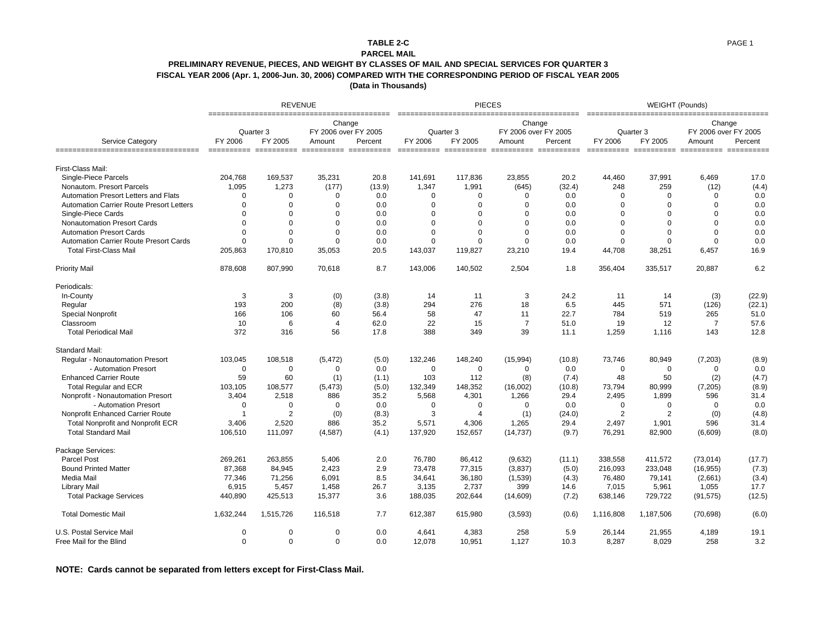### **TABLE 2-C**

#### **PARCEL MAIL**

### **PRELIMINARY REVENUE, PIECES, AND WEIGHT BY CLASSES OF MAIL AND SPECIAL SERVICES FOR QUARTER 3 FISCAL YEAR 2006 (Apr. 1, 2006-Jun. 30, 2006) COMPARED WITH THE CORRESPONDING PERIOD OF FISCAL YEAR 2005**

**(Data in Thousands)**

|                                                 |             | <b>REVENUE</b>       |                                          |         |                | <b>PIECES</b>        |                                          |         |                | <b>WEIGHT (Pounds)</b><br>Change<br>FY 2006 over FY 2005<br>Quarter 3 |                                        |         |  |
|-------------------------------------------------|-------------|----------------------|------------------------------------------|---------|----------------|----------------------|------------------------------------------|---------|----------------|-----------------------------------------------------------------------|----------------------------------------|---------|--|
| <b>Service Category</b>                         | FY 2006     | Quarter 3<br>FY 2005 | Change<br>FY 2006 over FY 2005<br>Amount | Percent | FY 2006        | Quarter 3<br>FY 2005 | Change<br>FY 2006 over FY 2005<br>Amount | Percent | FY 2006        | FY 2005                                                               | Amount                                 | Percent |  |
| ======================================          |             |                      |                                          |         |                |                      | =========== =========== ========== ====  | ======  |                |                                                                       | =========== =========== ========== ==: |         |  |
| First-Class Mail:                               |             |                      |                                          |         |                |                      |                                          |         |                |                                                                       |                                        |         |  |
| Single-Piece Parcels                            | 204,768     | 169,537              | 35,231                                   | 20.8    | 141,691        | 117,836              | 23,855                                   | 20.2    | 44,460         | 37,991                                                                | 6,469                                  | 17.0    |  |
| Nonautom. Presort Parcels                       | 1,095       | 1,273                | (177)                                    | (13.9)  | 1,347          | 1,991                | (645)                                    | (32.4)  | 248            | 259                                                                   | (12)                                   | (4.4)   |  |
| Automation Presort Letters and Flats            | $\Omega$    | $\Omega$             | $\mathbf 0$                              | 0.0     | $\Omega$       | $\mathbf 0$          | $\mathbf 0$                              | 0.0     | $\mathbf 0$    | $\Omega$                                                              | $\Omega$                               | 0.0     |  |
| <b>Automation Carrier Route Presort Letters</b> | $\Omega$    | $\mathbf 0$          | $\mathbf 0$                              | 0.0     | $\overline{0}$ | $\overline{0}$       | $\Omega$                                 | 0.0     | 0              | $\Omega$                                                              | $\Omega$                               | 0.0     |  |
| Single-Piece Cards                              | $\Omega$    | $\mathbf 0$          | $\mathbf 0$                              | 0.0     | $\overline{0}$ | $\mathbf 0$          | $\Omega$                                 | 0.0     | $\Omega$       | $\Omega$                                                              | $\Omega$                               | 0.0     |  |
| Nonautomation Presort Cards                     | $\Omega$    | $\mathbf 0$          | $\mathbf 0$                              | 0.0     | $\overline{0}$ | $\Omega$             | $\Omega$                                 | 0.0     | $\Omega$       | $\Omega$                                                              | $\Omega$                               | 0.0     |  |
| <b>Automation Presort Cards</b>                 | $\Omega$    | $\mathbf 0$          | $\mathbf 0$                              | 0.0     | $\overline{0}$ | $\Omega$             | $\Omega$                                 | 0.0     | $\Omega$       | $\Omega$                                                              | $\Omega$                               | 0.0     |  |
| <b>Automation Carrier Route Presort Cards</b>   | $\Omega$    | $\mathbf 0$          | $\mathbf 0$                              | 0.0     | $\mathbf 0$    | $\Omega$             | $\Omega$                                 | 0.0     | 0              | $\Omega$                                                              | $\Omega$                               | 0.0     |  |
| <b>Total First-Class Mail</b>                   | 205,863     | 170,810              | 35,053                                   | 20.5    | 143,037        | 119,827              | 23,210                                   | 19.4    | 44,708         | 38,251                                                                | 6,457                                  | 16.9    |  |
| <b>Priority Mail</b>                            | 878,608     | 807,990              | 70,618                                   | 8.7     | 143,006        | 140,502              | 2,504                                    | 1.8     | 356,404        | 335,517                                                               | 20,887                                 | 6.2     |  |
| Periodicals:                                    |             |                      |                                          |         |                |                      |                                          |         |                |                                                                       |                                        |         |  |
| In-County                                       | 3           | 3                    | (0)                                      | (3.8)   | 14             | 11                   | 3                                        | 24.2    | 11             | 14                                                                    | (3)                                    | (22.9)  |  |
| Regular                                         | 193         | 200                  | (8)                                      | (3.8)   | 294            | 276                  | 18                                       | 6.5     | 445            | 571                                                                   | (126)                                  | (22.1)  |  |
| Special Nonprofit                               | 166         | 106                  | 60                                       | 56.4    | 58             | 47                   | 11                                       | 22.7    | 784            | 519                                                                   | 265                                    | 51.0    |  |
| Classroom                                       | 10          | 6                    | $\overline{4}$                           | 62.0    | 22             | 15                   | $\overline{7}$                           | 51.0    | 19             | 12                                                                    | $\overline{7}$                         | 57.6    |  |
| <b>Total Periodical Mail</b>                    | 372         | 316                  | 56                                       | 17.8    | 388            | 349                  | 39                                       | 11.1    | 1,259          | 1,116                                                                 | 143                                    | 12.8    |  |
| <b>Standard Mail:</b>                           |             |                      |                                          |         |                |                      |                                          |         |                |                                                                       |                                        |         |  |
| Regular - Nonautomation Presort                 | 103,045     | 108,518              | (5, 472)                                 | (5.0)   | 132,246        | 148,240              | (15,994)                                 | (10.8)  | 73,746         | 80,949                                                                | (7,203)                                | (8.9)   |  |
| - Automation Presort                            | 0           | 0                    | 0                                        | 0.0     | $\mathbf 0$    | 0                    | $\mathbf 0$                              | 0.0     | $\mathbf 0$    | $\mathbf 0$                                                           | $\mathbf 0$                            | 0.0     |  |
| <b>Enhanced Carrier Route</b>                   | 59          | 60                   | (1)                                      | (1.1)   | 103            | 112                  | (8)                                      | (7.4)   | 48             | 50                                                                    | (2)                                    | (4.7)   |  |
| <b>Total Regular and ECR</b>                    | 103,105     | 108,577              | (5, 473)                                 | (5.0)   | 132,349        | 148,352              | (16,002)                                 | (10.8)  | 73,794         | 80,999                                                                | (7, 205)                               | (8.9)   |  |
| Nonprofit - Nonautomation Presort               | 3.404       | 2.518                | 886                                      | 35.2    | 5.568          | 4,301                | 1,266                                    | 29.4    | 2,495          | 1,899                                                                 | 596                                    | 31.4    |  |
| - Automation Presort                            | $\mathbf 0$ | $\mathbf 0$          | $\mathbf 0$                              | 0.0     | $\mathbf 0$    | $\mathbf 0$          | $\mathbf 0$                              | 0.0     | $\mathbf 0$    | $\mathbf 0$                                                           | $\mathbf 0$                            | 0.0     |  |
| Nonprofit Enhanced Carrier Route                | -1          | $\overline{2}$       | (0)                                      | (8.3)   | 3              | $\overline{4}$       | (1)                                      | (24.0)  | $\overline{2}$ | $\overline{2}$                                                        | (0)                                    | (4.8)   |  |
| Total Nonprofit and Nonprofit ECR               | 3,406       | 2,520                | 886                                      | 35.2    | 5,571          | 4,306                | 1,265                                    | 29.4    | 2,497          | 1,901                                                                 | 596                                    | 31.4    |  |
| <b>Total Standard Mail</b>                      | 106,510     | 111,097              | (4, 587)                                 | (4.1)   | 137,920        | 152,657              | (14, 737)                                | (9.7)   | 76,291         | 82,900                                                                | (6,609)                                | (8.0)   |  |
| Package Services:                               |             |                      |                                          |         |                |                      |                                          |         |                |                                                                       |                                        |         |  |
| <b>Parcel Post</b>                              | 269,261     | 263,855              | 5,406                                    | 2.0     | 76,780         | 86,412               | (9,632)                                  | (11.1)  | 338,558        | 411,572                                                               | (73, 014)                              | (17.7)  |  |
| <b>Bound Printed Matter</b>                     | 87,368      | 84,945               | 2,423                                    | 2.9     | 73,478         | 77,315               | (3,837)                                  | (5.0)   | 216,093        | 233,048                                                               | (16, 955)                              | (7.3)   |  |
| Media Mail                                      | 77,346      | 71,256               | 6,091                                    | 8.5     | 34,641         | 36,180               | (1,539)                                  | (4.3)   | 76,480         | 79,141                                                                | (2,661)                                | (3.4)   |  |
| <b>Library Mail</b>                             | 6,915       | 5,457                | 1,458                                    | 26.7    | 3,135          | 2,737                | 399                                      | 14.6    | 7,015          | 5,961                                                                 | 1,055                                  | 17.7    |  |
| <b>Total Package Services</b>                   | 440,890     | 425,513              | 15,377                                   | 3.6     | 188,035        | 202,644              | (14,609)                                 | (7.2)   | 638,146        | 729,722                                                               | (91, 575)                              | (12.5)  |  |
| <b>Total Domestic Mail</b>                      | 1,632,244   | 1,515,726            | 116,518                                  | 7.7     | 612,387        | 615,980              | (3,593)                                  | (0.6)   | 1,116,808      | 1,187,506                                                             | (70, 698)                              | (6.0)   |  |
| U.S. Postal Service Mail                        | 0           | $\mathbf 0$          | $\mathbf 0$                              | 0.0     | 4,641          | 4,383                | 258                                      | 5.9     | 26,144         | 21,955                                                                | 4,189                                  | 19.1    |  |
| Free Mail for the Blind                         | $\Omega$    | $\mathbf 0$          | $\mathbf 0$                              | 0.0     | 12,078         | 10,951               | 1,127                                    | 10.3    | 8,287          | 8,029                                                                 | 258                                    | 3.2     |  |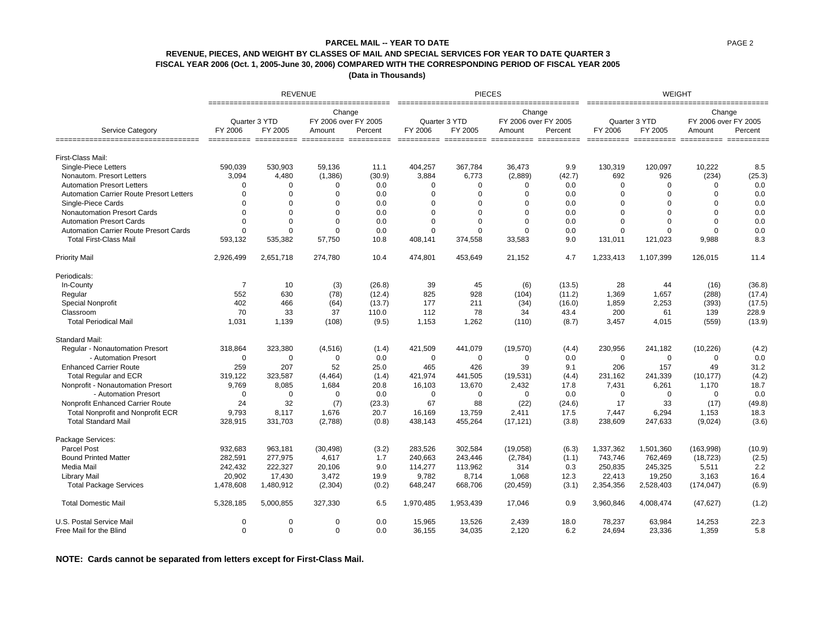## **REVENUE, PIECES, AND WEIGHT BY CLASSES OF MAIL AND SPECIAL SERVICES FOR YEAR TO DATE QUARTER 3 FISCAL YEAR 2006 (Oct. 1, 2005-June 30, 2006) COMPARED WITH THE CORRESPONDING PERIOD OF FISCAL YEAR 2005 PARCEL MAIL -- YEAR TO DATE**

**(Data in Thousands)** 

|                                                        |                | <b>REVENUE</b> |                                |         |                      | <b>PIECES</b>                                   |                                |                   | <b>WEIGHT</b><br>=====================<br>Change |                  |                      |         |
|--------------------------------------------------------|----------------|----------------|--------------------------------|---------|----------------------|-------------------------------------------------|--------------------------------|-------------------|--------------------------------------------------|------------------|----------------------|---------|
|                                                        |                | Quarter 3 YTD  | Change<br>FY 2006 over FY 2005 |         | ____________________ | Quarter 3 YTD                                   | Change<br>FY 2006 over FY 2005 | ================  |                                                  | Quarter 3 YTD    | FY 2006 over FY 2005 |         |
| Service Category<br>================================== | FY 2006        | FY 2005        | Amount                         | Percent | FY 2006              | FY 2005<br>========== ========== ============== | Amount                         | Percent<br>====== | FY 2006                                          | FY 2005<br>===== | Amount<br>==== ==    | Percent |
| First-Class Mail:                                      |                |                |                                |         |                      |                                                 |                                |                   |                                                  |                  |                      |         |
| Single-Piece Letters                                   | 590.039        | 530.903        | 59.136                         | 11.1    | 404.257              | 367.784                                         | 36.473                         | 9.9               | 130,319                                          | 120.097          | 10.222               | 8.5     |
| Nonautom. Presort Letters                              | 3,094          | 4,480          | (1,386)                        | (30.9)  | 3.884                | 6,773                                           | (2,889)                        | (42.7)            | 692                                              | 926              | (234)                | (25.3)  |
| <b>Automation Presort Letters</b>                      | $\Omega$       | $\Omega$       | $\Omega$                       | 0.0     | $\Omega$             | $\mathbf 0$                                     | $\Omega$                       | 0.0               | $\Omega$                                         | $\Omega$         | $\Omega$             | 0.0     |
| <b>Automation Carrier Route Presort Letters</b>        | $\Omega$       | $\Omega$       | $\Omega$                       | 0.0     | $\Omega$             | $\Omega$                                        | $\Omega$                       | 0.0               | $\Omega$                                         | $\Omega$         | $\Omega$             | 0.0     |
| Single-Piece Cards                                     | $\Omega$       | $\Omega$       | $\Omega$                       | 0.0     | $\Omega$             | 0                                               | $\Omega$                       | 0.0               | $\Omega$                                         | $\Omega$         | $\Omega$             | 0.0     |
| <b>Nonautomation Presort Cards</b>                     | $\Omega$       | $\Omega$       | $\Omega$                       | 0.0     | $\Omega$             | 0                                               | $\Omega$                       | 0.0               | $\Omega$                                         | $\Omega$         | $\Omega$             | 0.0     |
| <b>Automation Presort Cards</b>                        | $\Omega$       | $\Omega$       | $\Omega$                       | 0.0     | $\Omega$             | 0                                               | $\Omega$                       | 0.0               | $\Omega$                                         | $\Omega$         | $\Omega$             | 0.0     |
| <b>Automation Carrier Route Presort Cards</b>          | $\Omega$       | $\Omega$       | $\Omega$                       | 0.0     | $\Omega$             | $\Omega$                                        | $\Omega$                       | 0.0               | $\Omega$                                         | $\Omega$         | $\Omega$             | 0.0     |
| <b>Total First-Class Mail</b>                          | 593,132        | 535,382        | 57,750                         | 10.8    | 408,141              | 374,558                                         | 33,583                         | 9.0               | 131,011                                          | 121,023          | 9,988                | 8.3     |
| <b>Priority Mail</b>                                   | 2,926,499      | 2,651,718      | 274,780                        | 10.4    | 474,801              | 453,649                                         | 21,152                         | 4.7               | 1,233,413                                        | 1,107,399        | 126,015              | 11.4    |
| Periodicals:                                           |                |                |                                |         |                      |                                                 |                                |                   |                                                  |                  |                      |         |
| In-County                                              | $\overline{7}$ | 10             | (3)                            | (26.8)  | 39                   | 45                                              | (6)                            | (13.5)            | 28                                               | 44               | (16)                 | (36.8)  |
| Regular                                                | 552            | 630            | (78)                           | (12.4)  | 825                  | 928                                             | (104)                          | (11.2)            | 1,369                                            | 1,657            | (288)                | (17.4)  |
| Special Nonprofit                                      | 402            | 466            | (64)                           | (13.7)  | 177                  | 211                                             | (34)                           | (16.0)            | 1,859                                            | 2,253            | (393)                | (17.5)  |
| Classroom                                              | 70             | 33             | 37                             | 110.0   | 112                  | 78                                              | 34                             | 43.4              | 200                                              | 61               | 139                  | 228.9   |
| <b>Total Periodical Mail</b>                           | 1,031          | 1,139          | (108)                          | (9.5)   | 1,153                | 1,262                                           | (110)                          | (8.7)             | 3,457                                            | 4,015            | (559)                | (13.9)  |
| <b>Standard Mail:</b>                                  |                |                |                                |         |                      |                                                 |                                |                   |                                                  |                  |                      |         |
| <b>Regular - Nonautomation Presort</b>                 | 318,864        | 323.380        | (4, 516)                       | (1.4)   | 421,509              | 441.079                                         | (19,570)                       | (4.4)             | 230,956                                          | 241,182          | (10, 226)            | (4.2)   |
| - Automation Presort                                   | $\mathbf 0$    | $\Omega$       | $\Omega$                       | 0.0     | $\mathbf 0$          | $\mathbf 0$                                     | $\Omega$                       | 0.0               | $\mathbf 0$                                      | 0                | $\mathbf 0$          | 0.0     |
| <b>Enhanced Carrier Route</b>                          | 259            | 207            | 52                             | 25.0    | 465                  | 426                                             | 39                             | 9.1               | 206                                              | 157              | 49                   | 31.2    |
| <b>Total Regular and ECR</b>                           | 319,122        | 323,587        | (4, 464)                       | (1.4)   | 421,974              | 441,505                                         | (19, 531)                      | (4.4)             | 231,162                                          | 241,339          | (10, 177)            | (4.2)   |
| Nonprofit - Nonautomation Presort                      | 9,769          | 8,085          | 1.684                          | 20.8    | 16,103               | 13,670                                          | 2,432                          | 17.8              | 7,431                                            | 6,261            | 1,170                | 18.7    |
| - Automation Presort                                   | $\mathbf 0$    | $\mathbf 0$    | $\Omega$                       | 0.0     | $\mathbf 0$          | 0                                               | 0                              | 0.0               | 0                                                | 0                | $\Omega$             | 0.0     |
| Nonprofit Enhanced Carrier Route                       | 24             | 32             | (7)                            | (23.3)  | 67                   | 88                                              | (22)                           | (24.6)            | 17                                               | 33               | (17)                 | (49.8)  |
| <b>Total Nonprofit and Nonprofit ECR</b>               | 9,793          | 8,117          | 1,676                          | 20.7    | 16,169               | 13,759                                          | 2,411                          | 17.5              | 7,447                                            | 6,294            | 1,153                | 18.3    |
| <b>Total Standard Mail</b>                             | 328,915        | 331,703        | (2,788)                        | (0.8)   | 438,143              | 455,264                                         | (17, 121)                      | (3.8)             | 238,609                                          | 247,633          | (9,024)              | (3.6)   |
| Package Services:                                      |                |                |                                |         |                      |                                                 |                                |                   |                                                  |                  |                      |         |
| <b>Parcel Post</b>                                     | 932,683        | 963,181        | (30, 498)                      | (3.2)   | 283,526              | 302,584                                         | (19,058)                       | (6.3)             | 1,337,362                                        | 1,501,360        | (163,998)            | (10.9)  |
| <b>Bound Printed Matter</b>                            | 282,591        | 277,975        | 4,617                          | 1.7     | 240,663              | 243,446                                         | (2,784)                        | (1.1)             | 743,746                                          | 762,469          | (18, 723)            | (2.5)   |
| Media Mail                                             | 242,432        | 222,327        | 20,106                         | 9.0     | 114,277              | 113,962                                         | 314                            | 0.3               | 250,835                                          | 245,325          | 5,511                | 2.2     |
| Library Mail                                           | 20,902         | 17,430         | 3,472                          | 19.9    | 9,782                | 8,714                                           | 1,068                          | 12.3              | 22,413                                           | 19,250           | 3,163                | 16.4    |
| <b>Total Package Services</b>                          | 1,478,608      | 1,480,912      | (2, 304)                       | (0.2)   | 648,247              | 668,706                                         | (20, 459)                      | (3.1)             | 2,354,356                                        | 2,528,403        | (174, 047)           | (6.9)   |
| <b>Total Domestic Mail</b>                             | 5,328,185      | 5,000,855      | 327,330                        | 6.5     | 1,970,485            | 1,953,439                                       | 17,046                         | 0.9               | 3,960,846                                        | 4,008,474        | (47, 627)            | (1.2)   |
| U.S. Postal Service Mail                               | $\Omega$       | 0              | $\Omega$                       | 0.0     | 15,965               | 13,526                                          | 2,439                          | 18.0              | 78,237                                           | 63,984           | 14,253               | 22.3    |
| Free Mail for the Blind                                | $\Omega$       | $\Omega$       | $\Omega$                       | 0.0     | 36.155               | 34,035                                          | 2.120                          | 6.2               | 24.694                                           | 23.336           | 1.359                | 5.8     |

**NOTE: Cards cannot be separated from letters except for First-Class Mail.**

PAGE 2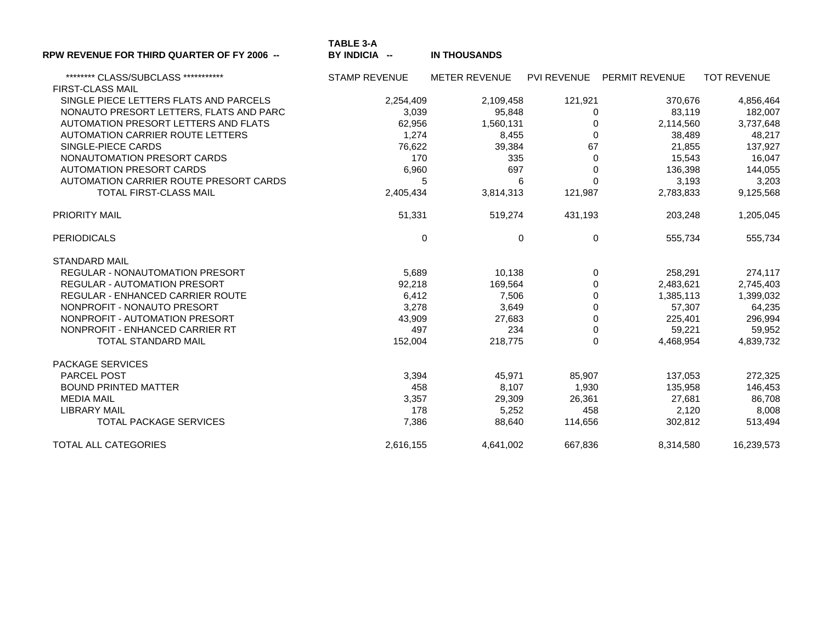| <b>RPW REVENUE FOR THIRD QUARTER OF FY 2006 --</b>               | TABLE 3-A<br>BY INDICIA -- | <b>IN THOUSANDS</b>  |             |                |                    |
|------------------------------------------------------------------|----------------------------|----------------------|-------------|----------------|--------------------|
| ********* CLASS/SUBCLASS ************<br><b>FIRST-CLASS MAIL</b> | <b>STAMP REVENUE</b>       | <b>METER REVENUE</b> | PVI REVENUE | PERMIT REVENUE | <b>TOT REVENUE</b> |
| SINGLE PIECE LETTERS FLATS AND PARCELS                           | 2,254,409                  | 2,109,458            | 121,921     | 370,676        | 4,856,464          |
| NONAUTO PRESORT LETTERS, FLATS AND PARC                          | 3,039                      | 95,848               | $\Omega$    | 83,119         | 182,007            |
| AUTOMATION PRESORT LETTERS AND FLATS                             | 62,956                     | 1,560,131            | 0           | 2,114,560      | 3,737,648          |
| AUTOMATION CARRIER ROUTE LETTERS                                 | 1,274                      | 8,455                | $\Omega$    | 38,489         | 48,217             |
| SINGLE-PIECE CARDS                                               | 76,622                     | 39,384               | 67          | 21,855         | 137,927            |
| NONAUTOMATION PRESORT CARDS                                      | 170                        | 335                  | $\Omega$    | 15,543         | 16,047             |
| <b>AUTOMATION PRESORT CARDS</b>                                  | 6,960                      | 697                  | $\mathbf 0$ | 136,398        | 144,055            |
| AUTOMATION CARRIER ROUTE PRESORT CARDS                           | 5                          | 6                    | $\Omega$    | 3,193          | 3,203              |
| TOTAL FIRST-CLASS MAIL                                           | 2,405,434                  | 3,814,313            | 121,987     | 2,783,833      | 9,125,568          |
| <b>PRIORITY MAIL</b>                                             | 51,331                     | 519,274              | 431,193     | 203,248        | 1,205,045          |
| <b>PERIODICALS</b>                                               | 0                          | 0                    | 0           | 555,734        | 555,734            |
| <b>STANDARD MAIL</b>                                             |                            |                      |             |                |                    |
| <b>REGULAR - NONAUTOMATION PRESORT</b>                           | 5,689                      | 10,138               | 0           | 258,291        | 274,117            |
| <b>REGULAR - AUTOMATION PRESORT</b>                              | 92,218                     | 169,564              | $\Omega$    | 2,483,621      | 2,745,403          |
| REGULAR - ENHANCED CARRIER ROUTE                                 | 6,412                      | 7,506                | $\Omega$    | 1,385,113      | 1,399,032          |
| NONPROFIT - NONAUTO PRESORT                                      | 3,278                      | 3,649                | 0           | 57,307         | 64,235             |
| NONPROFIT - AUTOMATION PRESORT                                   | 43,909                     | 27,683               | $\mathbf 0$ | 225,401        | 296,994            |
| NONPROFIT - ENHANCED CARRIER RT                                  | 497                        | 234                  | 0           | 59,221         | 59,952             |
| <b>TOTAL STANDARD MAIL</b>                                       | 152,004                    | 218,775              | $\Omega$    | 4,468,954      | 4,839,732          |
| <b>PACKAGE SERVICES</b>                                          |                            |                      |             |                |                    |
| <b>PARCEL POST</b>                                               | 3,394                      | 45,971               | 85,907      | 137,053        | 272,325            |
| <b>BOUND PRINTED MATTER</b>                                      | 458                        | 8,107                | 1,930       | 135,958        | 146,453            |
| <b>MEDIA MAIL</b>                                                | 3,357                      | 29,309               | 26,361      | 27,681         | 86,708             |
| <b>LIBRARY MAIL</b>                                              | 178                        | 5,252                | 458         | 2,120          | 8,008              |
| <b>TOTAL PACKAGE SERVICES</b>                                    | 7,386                      | 88,640               | 114,656     | 302,812        | 513,494            |
| <b>TOTAL ALL CATEGORIES</b>                                      | 2.616.155                  | 4,641,002            | 667.836     | 8,314,580      | 16.239.573         |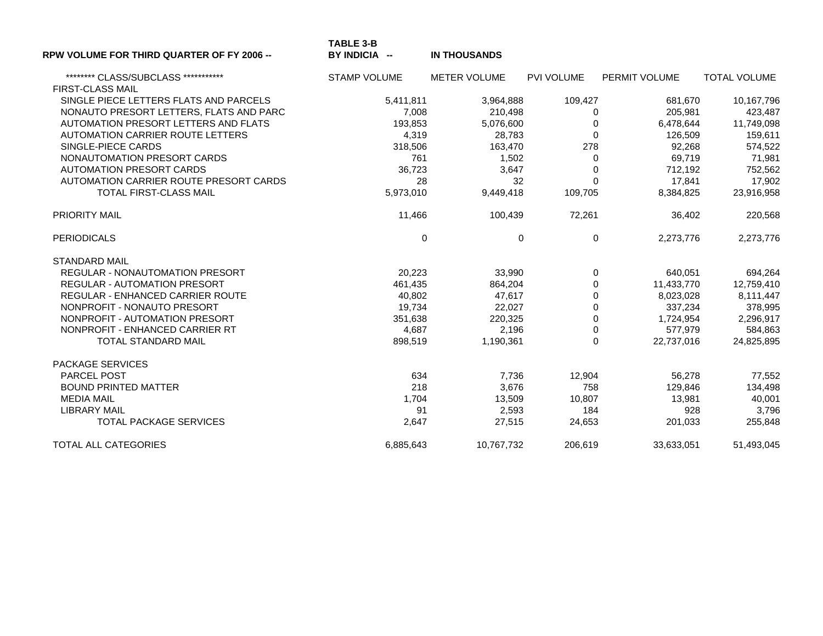| <b>RPW VOLUME FOR THIRD QUARTER OF FY 2006 --</b> | <b>TABLE 3-B</b><br>BY INDICIA -- | <b>IN THOUSANDS</b> |                      |                   |                     |
|---------------------------------------------------|-----------------------------------|---------------------|----------------------|-------------------|---------------------|
| ******** CLASS/SUBCLASS ***********               | <b>STAMP VOLUME</b>               | <b>METER VOLUME</b> | PVI VOLUME           | PERMIT VOLUME     | <b>TOTAL VOLUME</b> |
| <b>FIRST-CLASS MAIL</b>                           |                                   |                     |                      |                   |                     |
| SINGLE PIECE LETTERS FLATS AND PARCELS            | 5,411,811                         | 3,964,888           | 109,427              | 681,670           | 10,167,796          |
| NONAUTO PRESORT LETTERS, FLATS AND PARC           | 7,008                             | 210,498             | 0                    | 205,981           | 423,487             |
| AUTOMATION PRESORT LETTERS AND FLATS              | 193,853                           | 5,076,600           | $\Omega$             | 6,478,644         | 11,749,098          |
| AUTOMATION CARRIER ROUTE LETTERS                  | 4,319                             | 28,783              | $\Omega$             | 126,509           | 159,611             |
| SINGLE-PIECE CARDS<br>NONAUTOMATION PRESORT CARDS | 318,506<br>761                    | 163,470             | 278<br>$\Omega$      | 92,268            | 574,522             |
| <b>AUTOMATION PRESORT CARDS</b>                   |                                   | 1,502               |                      | 69,719            | 71,981              |
| AUTOMATION CARRIER ROUTE PRESORT CARDS            | 36,723<br>28                      | 3,647<br>32         | $\Omega$<br>$\Omega$ | 712,192<br>17,841 | 752,562<br>17,902   |
| <b>TOTAL FIRST-CLASS MAIL</b>                     |                                   |                     |                      |                   |                     |
|                                                   | 5,973,010                         | 9,449,418           | 109,705              | 8,384,825         | 23,916,958          |
| <b>PRIORITY MAIL</b>                              | 11,466                            | 100,439             | 72,261               | 36,402            | 220,568             |
| <b>PERIODICALS</b>                                | 0                                 | $\mathbf 0$         | $\mathbf 0$          | 2,273,776         | 2,273,776           |
| <b>STANDARD MAIL</b>                              |                                   |                     |                      |                   |                     |
| <b>REGULAR - NONAUTOMATION PRESORT</b>            | 20,223                            | 33,990              | $\mathbf 0$          | 640,051           | 694,264             |
| <b>REGULAR - AUTOMATION PRESORT</b>               | 461,435                           | 864,204             | $\Omega$             | 11,433,770        | 12,759,410          |
| REGULAR - ENHANCED CARRIER ROUTE                  | 40,802                            | 47,617              | $\mathbf 0$          | 8,023,028         | 8,111,447           |
| NONPROFIT - NONAUTO PRESORT                       | 19,734                            | 22,027              | $\mathbf 0$          | 337,234           | 378,995             |
| NONPROFIT - AUTOMATION PRESORT                    | 351,638                           | 220,325             | $\mathbf 0$          | 1,724,954         | 2,296,917           |
| NONPROFIT - ENHANCED CARRIER RT                   | 4,687                             | 2,196               | $\mathbf 0$          | 577,979           | 584,863             |
| <b>TOTAL STANDARD MAIL</b>                        | 898,519                           | 1,190,361           | $\Omega$             | 22,737,016        | 24,825,895          |
| <b>PACKAGE SERVICES</b>                           |                                   |                     |                      |                   |                     |
| <b>PARCEL POST</b>                                | 634                               | 7,736               | 12,904               | 56,278            | 77,552              |
| <b>BOUND PRINTED MATTER</b>                       | 218                               | 3,676               | 758                  | 129,846           | 134,498             |
| <b>MEDIA MAIL</b>                                 | 1,704                             | 13,509              | 10,807               | 13,981            | 40,001              |
| <b>LIBRARY MAIL</b>                               | 91                                | 2,593               | 184                  | 928               | 3,796               |
| <b>TOTAL PACKAGE SERVICES</b>                     | 2,647                             | 27,515              | 24,653               | 201,033           | 255,848             |
| TOTAL ALL CATEGORIES                              | 6,885,643                         | 10,767,732          | 206.619              | 33,633,051        | 51,493,045          |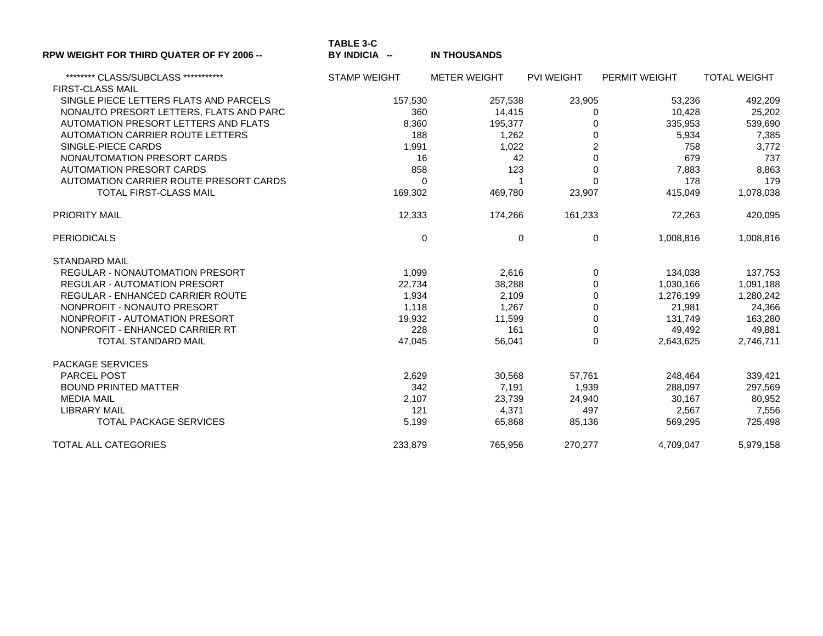| <b>RPW WEIGHT FOR THIRD QUATER OF FY 2006 --</b> | <b>TABLE 3-C</b><br>BY INDICIA -- | <b>IN THOUSANDS</b> |                   |               |                     |
|--------------------------------------------------|-----------------------------------|---------------------|-------------------|---------------|---------------------|
| ******** CLASS/SUBCLASS ************             | <b>STAMP WEIGHT</b>               | <b>METER WEIGHT</b> | <b>PVI WEIGHT</b> | PERMIT WEIGHT | <b>TOTAL WEIGHT</b> |
| <b>FIRST-CLASS MAIL</b>                          |                                   |                     |                   |               |                     |
| SINGLE PIECE LETTERS FLATS AND PARCELS           | 157,530                           | 257,538             | 23,905            | 53,236        | 492,209             |
| NONAUTO PRESORT LETTERS, FLATS AND PARC          | 360                               | 14,415              | $\Omega$          | 10,428        | 25,202              |
| AUTOMATION PRESORT LETTERS AND FLATS             | 8,360                             | 195,377             | $\Omega$          | 335,953       | 539,690             |
| <b>AUTOMATION CARRIER ROUTE LETTERS</b>          | 188                               | 1,262               | $\Omega$          | 5,934         | 7,385               |
| SINGLE-PIECE CARDS                               | 1,991                             | 1,022               | $\overline{c}$    | 758           | 3,772               |
| NONAUTOMATION PRESORT CARDS                      | 16                                | 42                  | $\Omega$          | 679           | 737                 |
| <b>AUTOMATION PRESORT CARDS</b>                  | 858                               | 123                 | $\Omega$          | 7,883         | 8,863               |
| AUTOMATION CARRIER ROUTE PRESORT CARDS           | $\Omega$                          | 1                   | $\Omega$          | 178           | 179                 |
| TOTAL FIRST-CLASS MAIL                           | 169,302                           | 469,780             | 23,907            | 415,049       | 1,078,038           |
| <b>PRIORITY MAIL</b>                             | 12,333                            | 174,266             | 161,233           | 72,263        | 420,095             |
| <b>PERIODICALS</b>                               | 0                                 | $\mathbf 0$         | $\mathbf 0$       | 1,008,816     | 1,008,816           |
| <b>STANDARD MAIL</b>                             |                                   |                     |                   |               |                     |
| REGULAR - NONAUTOMATION PRESORT                  | 1,099                             | 2,616               | $\mathbf 0$       | 134,038       | 137,753             |
| <b>REGULAR - AUTOMATION PRESORT</b>              | 22,734                            | 38,288              | $\Omega$          | 1,030,166     | 1,091,188           |
| REGULAR - ENHANCED CARRIER ROUTE                 | 1,934                             | 2,109               | 0                 | 1,276,199     | 1,280,242           |
| NONPROFIT - NONAUTO PRESORT                      | 1,118                             | 1,267               | 0                 | 21,981        | 24,366              |
| NONPROFIT - AUTOMATION PRESORT                   | 19,932                            | 11,599              | $\mathbf 0$       | 131,749       | 163,280             |
| NONPROFIT - ENHANCED CARRIER RT                  | 228                               | 161                 | 0                 | 49,492        | 49,881              |
| <b>TOTAL STANDARD MAIL</b>                       | 47,045                            | 56,041              | $\Omega$          | 2,643,625     | 2,746,711           |
| <b>PACKAGE SERVICES</b>                          |                                   |                     |                   |               |                     |
| <b>PARCEL POST</b>                               | 2,629                             | 30,568              | 57,761            | 248,464       | 339,421             |
| <b>BOUND PRINTED MATTER</b>                      | 342                               | 7,191               | 1,939             | 288,097       | 297,569             |
| <b>MEDIA MAIL</b>                                | 2,107                             | 23,739              | 24,940            | 30,167        | 80,952              |
| <b>LIBRARY MAIL</b>                              | 121                               | 4,371               | 497               | 2,567         | 7,556               |
| <b>TOTAL PACKAGE SERVICES</b>                    | 5,199                             | 65,868              | 85,136            | 569,295       | 725,498             |
| TOTAL ALL CATEGORIES                             | 233,879                           | 765,956             | 270.277           | 4,709,047     | 5,979,158           |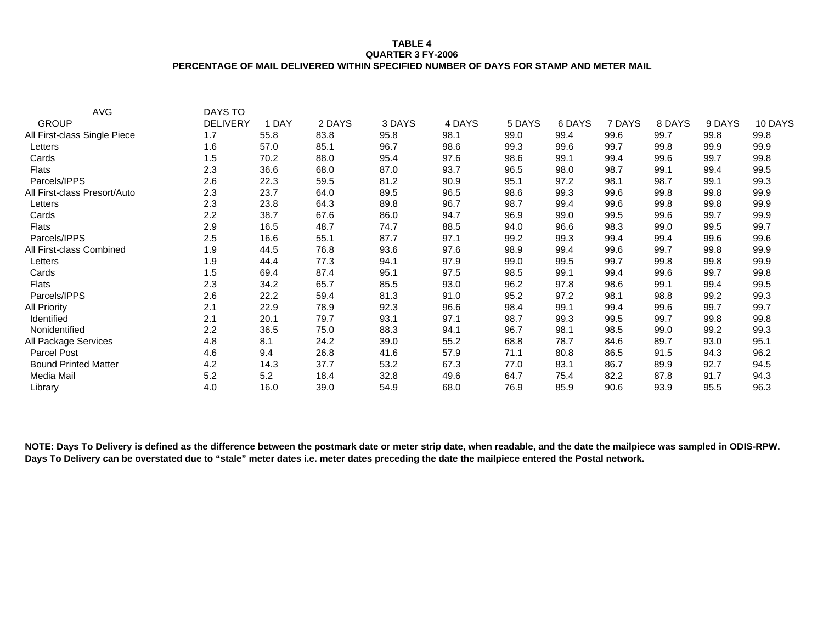### **TABLE 4 QUARTER 3 FY-2006 PERCENTAGE OF MAIL DELIVERED WITHIN SPECIFIED NUMBER OF DAYS FOR STAMP AND METER MAIL**

| <b>AVG</b>                   | DAYS TO         |       |        |        |        |        |        |        |        |        |         |
|------------------------------|-----------------|-------|--------|--------|--------|--------|--------|--------|--------|--------|---------|
| <b>GROUP</b>                 | <b>DELIVERY</b> | 1 DAY | 2 DAYS | 3 DAYS | 4 DAYS | 5 DAYS | 6 DAYS | 7 DAYS | 8 DAYS | 9 DAYS | 10 DAYS |
| All First-class Single Piece | 1.7             | 55.8  | 83.8   | 95.8   | 98.1   | 99.0   | 99.4   | 99.6   | 99.7   | 99.8   | 99.8    |
| Letters                      | 1.6             | 57.0  | 85.1   | 96.7   | 98.6   | 99.3   | 99.6   | 99.7   | 99.8   | 99.9   | 99.9    |
| Cards                        | 1.5             | 70.2  | 88.0   | 95.4   | 97.6   | 98.6   | 99.1   | 99.4   | 99.6   | 99.7   | 99.8    |
| <b>Flats</b>                 | 2.3             | 36.6  | 68.0   | 87.0   | 93.7   | 96.5   | 98.0   | 98.7   | 99.1   | 99.4   | 99.5    |
| Parcels/IPPS                 | 2.6             | 22.3  | 59.5   | 81.2   | 90.9   | 95.1   | 97.2   | 98.1   | 98.7   | 99.1   | 99.3    |
| All First-class Presort/Auto | 2.3             | 23.7  | 64.0   | 89.5   | 96.5   | 98.6   | 99.3   | 99.6   | 99.8   | 99.8   | 99.9    |
| Letters                      | 2.3             | 23.8  | 64.3   | 89.8   | 96.7   | 98.7   | 99.4   | 99.6   | 99.8   | 99.8   | 99.9    |
| Cards                        | 2.2             | 38.7  | 67.6   | 86.0   | 94.7   | 96.9   | 99.0   | 99.5   | 99.6   | 99.7   | 99.9    |
| <b>Flats</b>                 | 2.9             | 16.5  | 48.7   | 74.7   | 88.5   | 94.0   | 96.6   | 98.3   | 99.0   | 99.5   | 99.7    |
| Parcels/IPPS                 | 2.5             | 16.6  | 55.1   | 87.7   | 97.1   | 99.2   | 99.3   | 99.4   | 99.4   | 99.6   | 99.6    |
| All First-class Combined     | 1.9             | 44.5  | 76.8   | 93.6   | 97.6   | 98.9   | 99.4   | 99.6   | 99.7   | 99.8   | 99.9    |
| Letters                      | 1.9             | 44.4  | 77.3   | 94.1   | 97.9   | 99.0   | 99.5   | 99.7   | 99.8   | 99.8   | 99.9    |
| Cards                        | 1.5             | 69.4  | 87.4   | 95.1   | 97.5   | 98.5   | 99.1   | 99.4   | 99.6   | 99.7   | 99.8    |
| <b>Flats</b>                 | 2.3             | 34.2  | 65.7   | 85.5   | 93.0   | 96.2   | 97.8   | 98.6   | 99.1   | 99.4   | 99.5    |
| Parcels/IPPS                 | 2.6             | 22.2  | 59.4   | 81.3   | 91.0   | 95.2   | 97.2   | 98.1   | 98.8   | 99.2   | 99.3    |
| <b>All Priority</b>          | 2.1             | 22.9  | 78.9   | 92.3   | 96.6   | 98.4   | 99.1   | 99.4   | 99.6   | 99.7   | 99.7    |
| Identified                   | 2.1             | 20.1  | 79.7   | 93.1   | 97.1   | 98.7   | 99.3   | 99.5   | 99.7   | 99.8   | 99.8    |
| Nonidentified                | 2.2             | 36.5  | 75.0   | 88.3   | 94.1   | 96.7   | 98.1   | 98.5   | 99.0   | 99.2   | 99.3    |
| All Package Services         | 4.8             | 8.1   | 24.2   | 39.0   | 55.2   | 68.8   | 78.7   | 84.6   | 89.7   | 93.0   | 95.1    |
| Parcel Post                  | 4.6             | 9.4   | 26.8   | 41.6   | 57.9   | 71.1   | 80.8   | 86.5   | 91.5   | 94.3   | 96.2    |
| <b>Bound Printed Matter</b>  | 4.2             | 14.3  | 37.7   | 53.2   | 67.3   | 77.0   | 83.1   | 86.7   | 89.9   | 92.7   | 94.5    |
| Media Mail                   | 5.2             | 5.2   | 18.4   | 32.8   | 49.6   | 64.7   | 75.4   | 82.2   | 87.8   | 91.7   | 94.3    |
| Library                      | 4.0             | 16.0  | 39.0   | 54.9   | 68.0   | 76.9   | 85.9   | 90.6   | 93.9   | 95.5   | 96.3    |

**NOTE: Days To Delivery is defined as the difference between the postmark date or meter strip date, when readable, and the date the mailpiece was sampled in ODIS-RPW. Days To Delivery can be overstated due to "stale" meter dates i.e. meter dates preceding the date the mailpiece entered the Postal network.**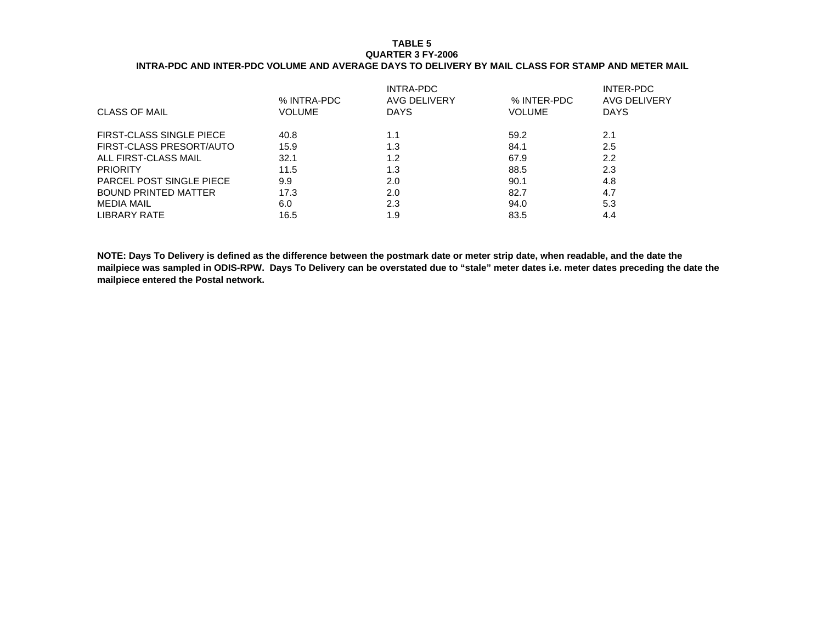### **TABLE 5 QUARTER 3 FY-2006INTRA-PDC AND INTER-PDC VOLUME AND AVERAGE DAYS TO DELIVERY BY MAIL CLASS FOR STAMP AND METER MAIL**

| % INTRA-PDC | INTRA-PDC<br><b>AVG DELIVERY</b> | % INTER-PDC | <b>INTER-PDC</b><br>AVG DELIVERY |
|-------------|----------------------------------|-------------|----------------------------------|
|             |                                  |             | <b>DAYS</b>                      |
| 40.8        | 1.1                              | 59.2        | 2.1                              |
| 15.9        | 1.3                              | 84.1        | 2.5                              |
| 32.1        | 1.2                              | 67.9        | 2.2                              |
| 11.5        | 1.3                              | 88.5        | 2.3                              |
| 9.9         | 2.0                              | 90.1        | 4.8                              |
| 17.3        | 2.0                              | 82.7        | 4.7                              |
| 6.0         | 2.3                              | 94.0        | 5.3                              |
| 16.5        | 1.9                              | 83.5        | 4.4                              |
|             | <b>VOLUME</b>                    | <b>DAYS</b> | <b>VOLUME</b>                    |

**NOTE: Days To Delivery is defined as the difference between the postmark date or meter strip date, when readable, and the date the mailpiece was sampled in ODIS-RPW. Days To Delivery can be overstated due to "stale" meter dates i.e. meter dates preceding the date the mailpiece entered the Postal network.**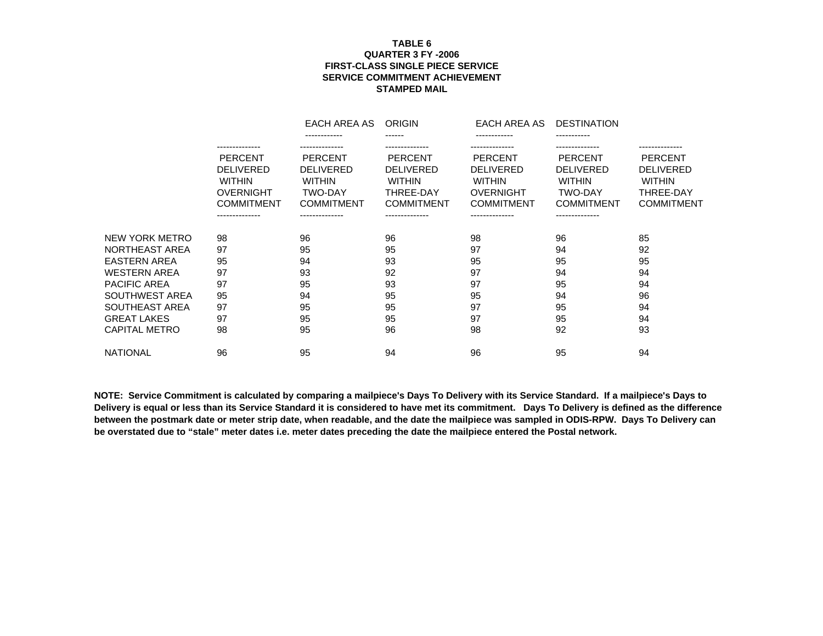## **TABLE 6 QUARTER 3 FY -2006 FIRST-CLASS SINGLE PIECE SERVICESERVICE COMMITMENT ACHIEVEMENTSTAMPED MAIL**

|                     |                                                                                                                                  | EACH AREA AS                                                                                                 | <b>ORIGIN</b>                                                                                           | EACH AREA AS                                                                                                   | <b>DESTINATION</b>                                                                                           |                                                                                                       |
|---------------------|----------------------------------------------------------------------------------------------------------------------------------|--------------------------------------------------------------------------------------------------------------|---------------------------------------------------------------------------------------------------------|----------------------------------------------------------------------------------------------------------------|--------------------------------------------------------------------------------------------------------------|-------------------------------------------------------------------------------------------------------|
|                     |                                                                                                                                  | ------------                                                                                                 | ------                                                                                                  |                                                                                                                |                                                                                                              |                                                                                                       |
|                     | --------------<br><b>PERCENT</b><br><b>DELIVERED</b><br><b>WITHIN</b><br><b>OVERNIGHT</b><br><b>COMMITMENT</b><br>-------------- | <b>PERCENT</b><br><b>DELIVERED</b><br><b>WITHIN</b><br><b>TWO-DAY</b><br><b>COMMITMENT</b><br>-------------- | <b>PERCENT</b><br><b>DELIVERED</b><br><b>WITHIN</b><br>THREE-DAY<br><b>COMMITMENT</b><br>-------------- | <b>PERCENT</b><br><b>DELIVERED</b><br><b>WITHIN</b><br><b>OVERNIGHT</b><br><b>COMMITMENT</b><br>-------------- | <b>PERCENT</b><br><b>DELIVERED</b><br><b>WITHIN</b><br><b>TWO-DAY</b><br><b>COMMITMENT</b><br>-------------- | ------------<br><b>PERCENT</b><br><b>DELIVERED</b><br><b>WITHIN</b><br>THREE-DAY<br><b>COMMITMENT</b> |
| NEW YORK METRO      | 98                                                                                                                               | 96                                                                                                           | 96                                                                                                      | 98                                                                                                             | 96                                                                                                           | 85                                                                                                    |
| NORTHEAST AREA      | 97                                                                                                                               | 95                                                                                                           | 95                                                                                                      | 97                                                                                                             | 94                                                                                                           | 92                                                                                                    |
| <b>EASTERN AREA</b> | 95                                                                                                                               | 94                                                                                                           | 93                                                                                                      | 95                                                                                                             | 95                                                                                                           | 95                                                                                                    |
| <b>WESTERN AREA</b> | 97                                                                                                                               | 93                                                                                                           | 92                                                                                                      | 97                                                                                                             | 94                                                                                                           | 94                                                                                                    |
| <b>PACIFIC AREA</b> | 97                                                                                                                               | 95                                                                                                           | 93                                                                                                      | 97                                                                                                             | 95                                                                                                           | 94                                                                                                    |
| SOUTHWEST AREA      | 95                                                                                                                               | 94                                                                                                           | 95                                                                                                      | 95                                                                                                             | 94                                                                                                           | 96                                                                                                    |
| SOUTHEAST AREA      | 97                                                                                                                               | 95                                                                                                           | 95                                                                                                      | 97                                                                                                             | 95                                                                                                           | 94                                                                                                    |
| <b>GREAT LAKES</b>  | 97                                                                                                                               | 95                                                                                                           | 95                                                                                                      | 97                                                                                                             | 95                                                                                                           | 94                                                                                                    |
| CAPITAL METRO       | 98                                                                                                                               | 95                                                                                                           | 96                                                                                                      | 98                                                                                                             | 92                                                                                                           | 93                                                                                                    |
| <b>NATIONAL</b>     | 96                                                                                                                               | 95                                                                                                           | 94                                                                                                      | 96                                                                                                             | 95                                                                                                           | 94                                                                                                    |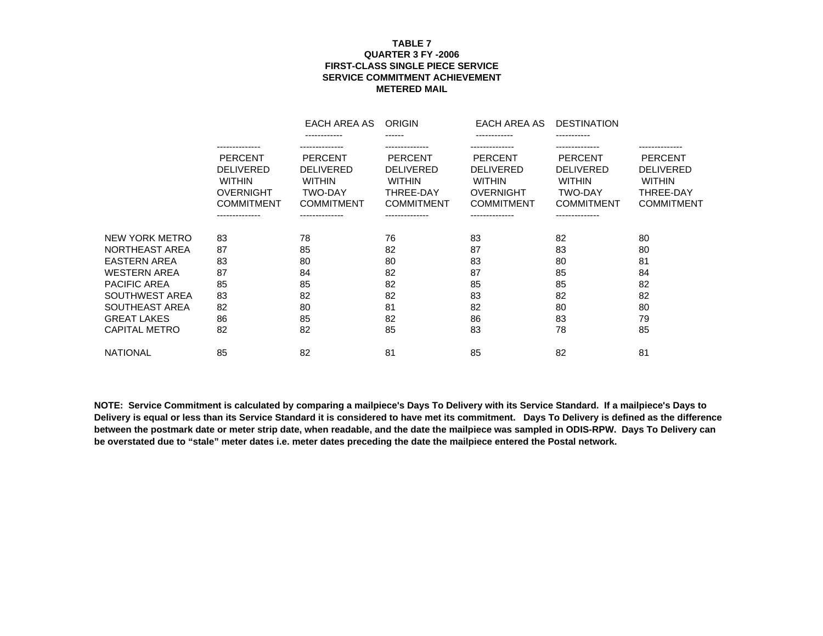## **TABLE 7 QUARTER 3 FY -2006 FIRST-CLASS SINGLE PIECE SERVICESERVICE COMMITMENT ACHIEVEMENTMETERED MAIL**

|                     |                   | EACH AREA AS      | <b>ORIGIN</b>     | EACH AREA AS      | <b>DESTINATION</b> |                   |
|---------------------|-------------------|-------------------|-------------------|-------------------|--------------------|-------------------|
|                     |                   | ------------      | ------            | ------------      | -----------        |                   |
|                     | --------------    |                   |                   |                   |                    | .                 |
|                     | <b>PERCENT</b>    | <b>PERCENT</b>    | <b>PERCENT</b>    | <b>PERCENT</b>    | <b>PERCENT</b>     | <b>PERCENT</b>    |
|                     | <b>DELIVERED</b>  | <b>DELIVERED</b>  | <b>DELIVERED</b>  | <b>DELIVERED</b>  | <b>DELIVERED</b>   | <b>DELIVERED</b>  |
|                     | <b>WITHIN</b>     | <b>WITHIN</b>     | <b>WITHIN</b>     | <b>WITHIN</b>     | <b>WITHIN</b>      | <b>WITHIN</b>     |
|                     | <b>OVERNIGHT</b>  | <b>TWO-DAY</b>    | THREE-DAY         | <b>OVERNIGHT</b>  | <b>TWO-DAY</b>     | THREE-DAY         |
|                     | <b>COMMITMENT</b> | <b>COMMITMENT</b> | <b>COMMITMENT</b> | <b>COMMITMENT</b> | <b>COMMITMENT</b>  | <b>COMMITMENT</b> |
|                     | --------------    | --------------    | --------------    | --------------    | --------------     |                   |
| NEW YORK METRO      | 83                | 78                | 76                | 83                | 82                 | 80                |
| NORTHEAST AREA      | 87                | 85                | 82                | 87                | 83                 | 80                |
| <b>EASTERN AREA</b> | 83                | 80                | 80                | 83                | 80                 | 81                |
| <b>WESTERN AREA</b> | 87                | 84                | 82                | 87                | 85                 | 84                |
| <b>PACIFIC AREA</b> | 85                | 85                | 82                | 85                | 85                 | 82                |
| SOUTHWEST AREA      | 83                | 82                | 82                | 83                | 82                 | 82                |
| SOUTHEAST AREA      | 82                | 80                | 81                | 82                | 80                 | 80                |
| <b>GREAT LAKES</b>  | 86                | 85                | 82                | 86                | 83                 | 79                |
| CAPITAL METRO       | 82                | 82                | 85                | 83                | 78                 | 85                |
|                     |                   |                   |                   |                   |                    |                   |
| <b>NATIONAL</b>     | 85                | 82                | 81                | 85                | 82                 | 81                |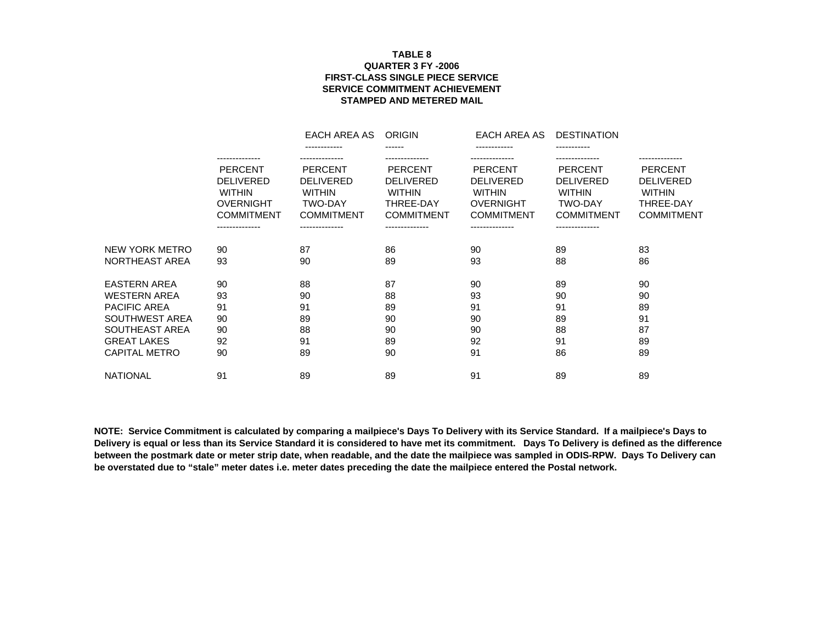## **QUARTER 3 FY -2006FIRST-CLASS SINGLE PIECE SERVICE SERVICE COMMITMENT ACHIEVEMENT STAMPED AND METERED MAILTABLE 8**

|                      |                                                                                                                | EACH AREA AS                                                                               | <b>ORIGIN</b>                                                                                | EACH AREA AS                                                                                 | <b>DESTINATION</b>                                                                         |                                                                                       |
|----------------------|----------------------------------------------------------------------------------------------------------------|--------------------------------------------------------------------------------------------|----------------------------------------------------------------------------------------------|----------------------------------------------------------------------------------------------|--------------------------------------------------------------------------------------------|---------------------------------------------------------------------------------------|
|                      | --------------                                                                                                 | ------------                                                                               | ------                                                                                       |                                                                                              |                                                                                            |                                                                                       |
|                      | <b>PERCENT</b><br><b>DELIVERED</b><br><b>WITHIN</b><br><b>OVERNIGHT</b><br><b>COMMITMENT</b><br>-------------- | <b>PERCENT</b><br><b>DELIVERED</b><br><b>WITHIN</b><br><b>TWO-DAY</b><br><b>COMMITMENT</b> | <b>PERCENT</b><br><b>DELIVERED</b><br><b>WITHIN</b><br><b>THREE-DAY</b><br><b>COMMITMENT</b> | <b>PERCENT</b><br><b>DELIVERED</b><br><b>WITHIN</b><br><b>OVERNIGHT</b><br><b>COMMITMENT</b> | <b>PERCENT</b><br><b>DELIVERED</b><br><b>WITHIN</b><br><b>TWO-DAY</b><br><b>COMMITMENT</b> | <b>PERCENT</b><br><b>DELIVERED</b><br><b>WITHIN</b><br>THREE-DAY<br><b>COMMITMENT</b> |
| NEW YORK METRO       | 90                                                                                                             | 87                                                                                         | 86                                                                                           | 90                                                                                           | 89                                                                                         | 83                                                                                    |
| NORTHEAST AREA       | 93                                                                                                             | 90                                                                                         | 89                                                                                           | 93                                                                                           | 88                                                                                         | 86                                                                                    |
| <b>EASTERN AREA</b>  | 90                                                                                                             | 88                                                                                         | 87                                                                                           | 90                                                                                           | 89                                                                                         | 90                                                                                    |
| <b>WESTERN AREA</b>  | 93                                                                                                             | 90                                                                                         | 88                                                                                           | 93                                                                                           | 90                                                                                         | 90                                                                                    |
| <b>PACIFIC AREA</b>  | 91                                                                                                             | 91                                                                                         | 89                                                                                           | 91                                                                                           | 91                                                                                         | 89                                                                                    |
| SOUTHWEST AREA       | 90                                                                                                             | 89                                                                                         | 90                                                                                           | 90                                                                                           | 89                                                                                         | 91                                                                                    |
| SOUTHEAST AREA       | 90                                                                                                             | 88                                                                                         | 90                                                                                           | 90                                                                                           | 88                                                                                         | 87                                                                                    |
| <b>GREAT LAKES</b>   | 92                                                                                                             | 91                                                                                         | 89                                                                                           | 92                                                                                           | 91                                                                                         | 89                                                                                    |
| <b>CAPITAL METRO</b> | 90                                                                                                             | 89                                                                                         | 90                                                                                           | 91                                                                                           | 86                                                                                         | 89                                                                                    |
| <b>NATIONAL</b>      | 91                                                                                                             | 89                                                                                         | 89                                                                                           | 91                                                                                           | 89                                                                                         | 89                                                                                    |